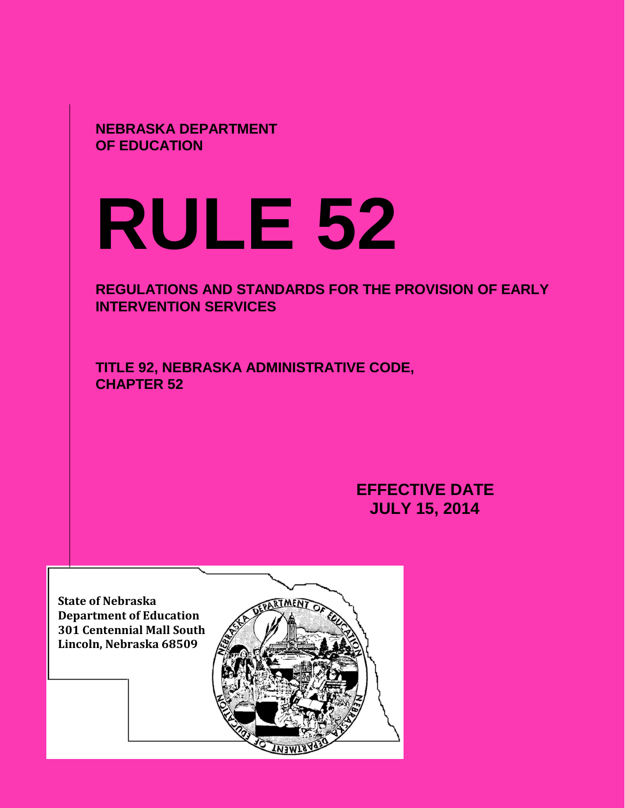**NEBRASKA DEPARTMENT OF EDUCATION**

# **RULE 52**

**REGULATIONS AND STANDARDS FOR THE PROVISION OF EARLY INTERVENTION SERVICES** 

**TITLE 92, NEBRASKA ADMINISTRATIVE CODE, CHAPTER 52** 

> **EFFECTIVE DATE JULY 15, 2014**

**State of Nebraska Department of Education 301 Centennial Mall South Lincoln, Nebraska 68509**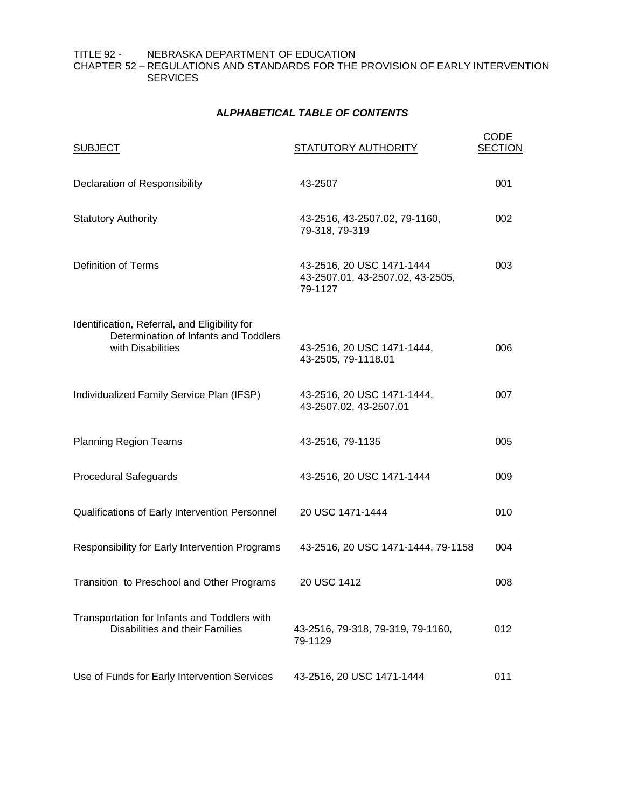TITLE 92 - NEBRASKA DEPARTMENT OF EDUCATION CHAPTER 52 – REGULATIONS AND STANDARDS FOR THE PROVISION OF EARLY INTERVENTION **SERVICES** 

# **A***LPHABETICAL TABLE OF CONTENTS*

| <b>SUBJECT</b>                                                                                              | <b>STATUTORY AUTHORITY</b>                                               | <b>CODE</b><br><b>SECTION</b> |
|-------------------------------------------------------------------------------------------------------------|--------------------------------------------------------------------------|-------------------------------|
| Declaration of Responsibility                                                                               | 43-2507                                                                  | 001                           |
| <b>Statutory Authority</b>                                                                                  | 43-2516, 43-2507.02, 79-1160,<br>79-318, 79-319                          | 002                           |
| <b>Definition of Terms</b>                                                                                  | 43-2516, 20 USC 1471-1444<br>43-2507.01, 43-2507.02, 43-2505,<br>79-1127 | 003                           |
| Identification, Referral, and Eligibility for<br>Determination of Infants and Toddlers<br>with Disabilities | 43-2516, 20 USC 1471-1444,<br>43-2505, 79-1118.01                        | 006                           |
| Individualized Family Service Plan (IFSP)                                                                   | 43-2516, 20 USC 1471-1444,<br>43-2507.02, 43-2507.01                     | 007                           |
| <b>Planning Region Teams</b>                                                                                | 43-2516, 79-1135                                                         | 005                           |
| <b>Procedural Safeguards</b>                                                                                | 43-2516, 20 USC 1471-1444                                                | 009                           |
| Qualifications of Early Intervention Personnel                                                              | 20 USC 1471-1444                                                         | 010                           |
| Responsibility for Early Intervention Programs                                                              | 43-2516, 20 USC 1471-1444, 79-1158                                       | 004                           |
| Transition to Preschool and Other Programs                                                                  | 20 USC 1412                                                              | 008                           |
| Transportation for Infants and Toddlers with<br>Disabilities and their Families                             | 43-2516, 79-318, 79-319, 79-1160,<br>79-1129                             | 012                           |
| Use of Funds for Early Intervention Services                                                                | 43-2516, 20 USC 1471-1444                                                | 011                           |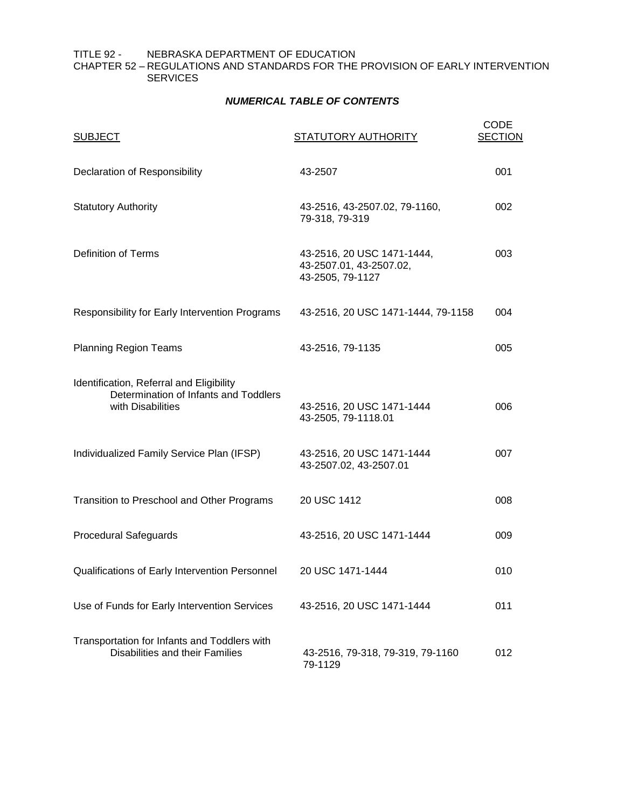## TITLE 92 - NEBRASKA DEPARTMENT OF EDUCATION CHAPTER 52 – REGULATIONS AND STANDARDS FOR THE PROVISION OF EARLY INTERVENTION **SERVICES**

# *NUMERICAL TABLE OF CONTENTS*

| <b>SUBJECT</b>                                                                                         | <b>STATUTORY AUTHORITY</b>                                                | <b>CODE</b><br><b>SECTION</b> |
|--------------------------------------------------------------------------------------------------------|---------------------------------------------------------------------------|-------------------------------|
| Declaration of Responsibility                                                                          | 43-2507                                                                   | 001                           |
| <b>Statutory Authority</b>                                                                             | 43-2516, 43-2507.02, 79-1160,<br>79-318, 79-319                           | 002                           |
| <b>Definition of Terms</b>                                                                             | 43-2516, 20 USC 1471-1444,<br>43-2507.01, 43-2507.02,<br>43-2505, 79-1127 | 003                           |
| Responsibility for Early Intervention Programs                                                         | 43-2516, 20 USC 1471-1444, 79-1158                                        | 004                           |
| <b>Planning Region Teams</b>                                                                           | 43-2516, 79-1135                                                          | 005                           |
| Identification, Referral and Eligibility<br>Determination of Infants and Toddlers<br>with Disabilities | 43-2516, 20 USC 1471-1444<br>43-2505, 79-1118.01                          | 006                           |
| Individualized Family Service Plan (IFSP)                                                              | 43-2516, 20 USC 1471-1444<br>43-2507.02, 43-2507.01                       | 007                           |
| Transition to Preschool and Other Programs                                                             | 20 USC 1412                                                               | 008                           |
| <b>Procedural Safeguards</b>                                                                           | 43-2516, 20 USC 1471-1444                                                 | 009                           |
| Qualifications of Early Intervention Personnel                                                         | 20 USC 1471-1444                                                          | 010                           |
| Use of Funds for Early Intervention Services                                                           | 43-2516, 20 USC 1471-1444                                                 | 011                           |
| Transportation for Infants and Toddlers with<br>Disabilities and their Families                        | 43-2516, 79-318, 79-319, 79-1160<br>79-1129                               | 012                           |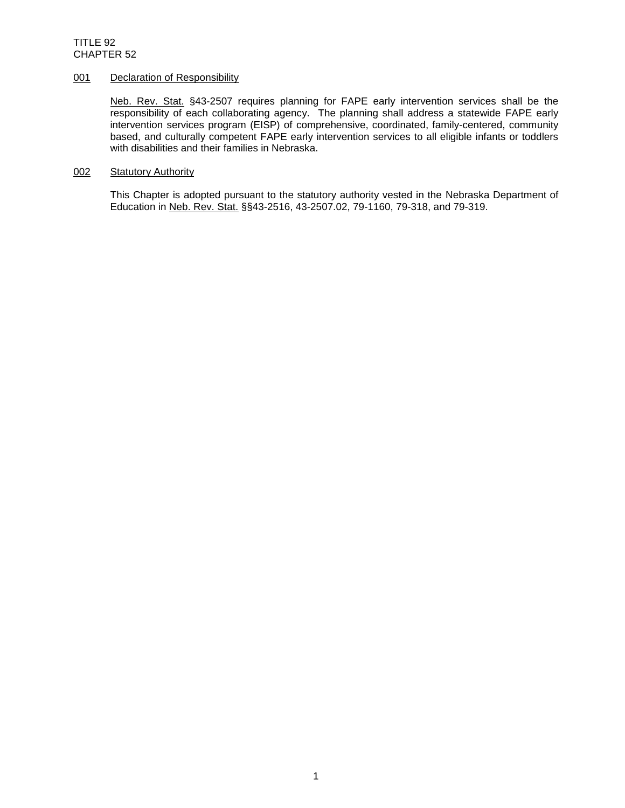## 001 Declaration of Responsibility

Neb. Rev. Stat. §43-2507 requires planning for FAPE early intervention services shall be the responsibility of each collaborating agency. The planning shall address a statewide FAPE early intervention services program (EISP) of comprehensive, coordinated, family-centered, community based, and culturally competent FAPE early intervention services to all eligible infants or toddlers with disabilities and their families in Nebraska.

## 002 Statutory Authority

This Chapter is adopted pursuant to the statutory authority vested in the Nebraska Department of Education in Neb. Rev. Stat. §§43-2516, 43-2507.02, 79-1160, 79-318, and 79-319.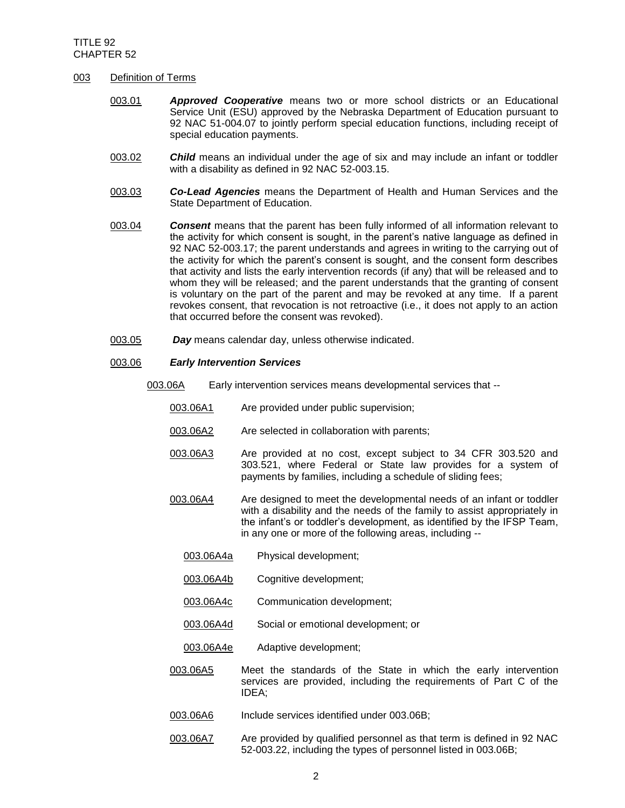### 003 Definition of Terms

- 003.01 *Approved Cooperative* means two or more school districts or an Educational Service Unit (ESU) approved by the Nebraska Department of Education pursuant to 92 NAC 51-004.07 to jointly perform special education functions, including receipt of special education payments.
- 003.02 *Child* means an individual under the age of six and may include an infant or toddler with a disability as defined in 92 NAC 52-003.15.
- 003.03 *Co-Lead Agencies* means the Department of Health and Human Services and the State Department of Education.
- 003.04 *Consent* means that the parent has been fully informed of all information relevant to the activity for which consent is sought, in the parent's native language as defined in 92 NAC 52-003.17; the parent understands and agrees in writing to the carrying out of the activity for which the parent's consent is sought, and the consent form describes that activity and lists the early intervention records (if any) that will be released and to whom they will be released; and the parent understands that the granting of consent is voluntary on the part of the parent and may be revoked at any time. If a parent revokes consent, that revocation is not retroactive (i.e., it does not apply to an action that occurred before the consent was revoked).
- 003.05 *Day* means calendar day, unless otherwise indicated.

## 003.06 *Early Intervention Services*

- 003.06A Early intervention services means developmental services that --
	- 003.06A1 Are provided under public supervision;
	- 003.06A2 Are selected in collaboration with parents;
	- 003.06A3 Are provided at no cost, except subject to 34 CFR 303.520 and 303.521, where Federal or State law provides for a system of payments by families, including a schedule of sliding fees;
	- 003.06A4 Are designed to meet the developmental needs of an infant or toddler with a disability and the needs of the family to assist appropriately in the infant's or toddler's development, as identified by the IFSP Team, in any one or more of the following areas, including --
		- 003.06A4a Physical development;
		- 003.06A4b Cognitive development;
		- 003.06A4c Communication development;
		- 003.06A4d Social or emotional development; or
		- 003.06A4e Adaptive development;
	- 003.06A5 Meet the standards of the State in which the early intervention services are provided, including the requirements of Part C of the IDEA;
	- 003.06A6 Include services identified under 003.06B;
	- 003.06A7 Are provided by qualified personnel as that term is defined in 92 NAC 52-003.22, including the types of personnel listed in 003.06B;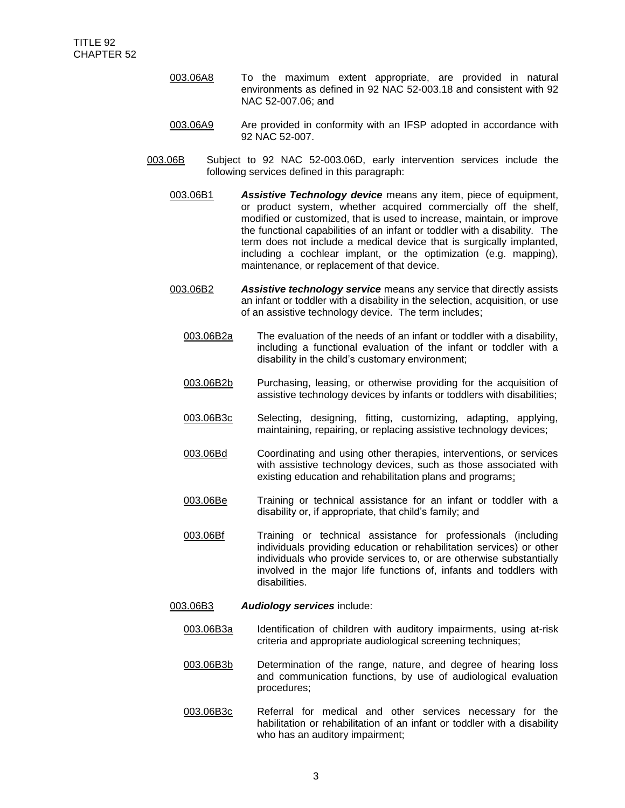- 003.06A8 To the maximum extent appropriate, are provided in natural environments as defined in 92 NAC 52-003.18 and consistent with 92 NAC 52-007.06; and
- 003.06A9 Are provided in conformity with an IFSP adopted in accordance with 92 NAC 52-007.
- 003.06B Subject to 92 NAC 52-003.06D, early intervention services include the following services defined in this paragraph:
	- 003.06B1 *Assistive Technology device* means any item, piece of equipment, or product system, whether acquired commercially off the shelf, modified or customized, that is used to increase, maintain, or improve the functional capabilities of an infant or toddler with a disability. The term does not include a medical device that is surgically implanted, including a cochlear implant, or the optimization (e.g. mapping), maintenance, or replacement of that device.
	- 003.06B2 *Assistive technology service* means any service that directly assists an infant or toddler with a disability in the selection, acquisition, or use of an assistive technology device. The term includes;
		- 003.06B2a The evaluation of the needs of an infant or toddler with a disability, including a functional evaluation of the infant or toddler with a disability in the child's customary environment;
		- 003.06B2b Purchasing, leasing, or otherwise providing for the acquisition of assistive technology devices by infants or toddlers with disabilities;
		- 003.06B3c Selecting, designing, fitting, customizing, adapting, applying, maintaining, repairing, or replacing assistive technology devices;
		- 003.06Bd Coordinating and using other therapies, interventions, or services with assistive technology devices, such as those associated with existing education and rehabilitation plans and programs;
		- 003.06Be Training or technical assistance for an infant or toddler with a disability or, if appropriate, that child's family; and
		- 003.06Bf Training or technical assistance for professionals (including individuals providing education or rehabilitation services) or other individuals who provide services to, or are otherwise substantially involved in the major life functions of, infants and toddlers with disabilities.
	- 003.06B3 *Audiology services* include:
		- 003.06B3a Identification of children with auditory impairments, using at-risk criteria and appropriate audiological screening techniques;
		- 003.06B3b Determination of the range, nature, and degree of hearing loss and communication functions, by use of audiological evaluation procedures;
		- 003.06B3c Referral for medical and other services necessary for the habilitation or rehabilitation of an infant or toddler with a disability who has an auditory impairment;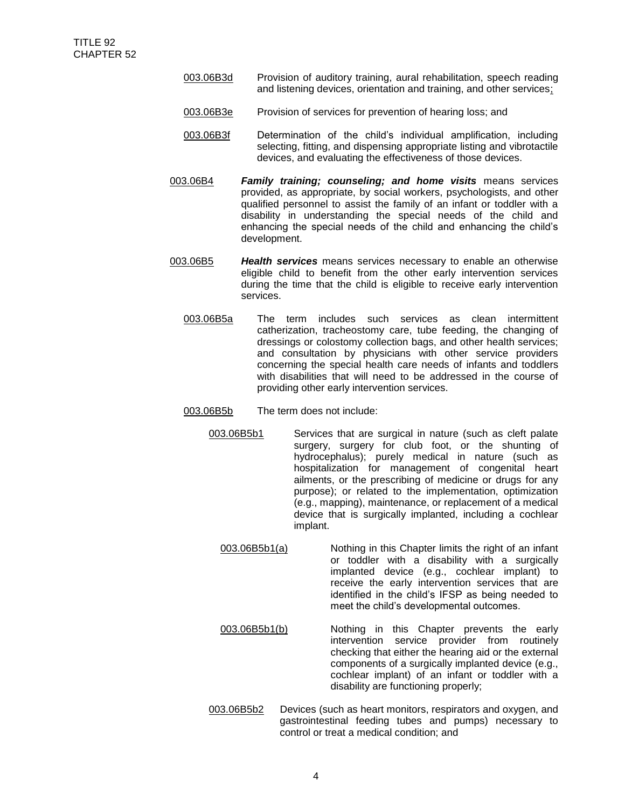- 003.06B3d Provision of auditory training, aural rehabilitation, speech reading and listening devices, orientation and training, and other services;
- 003.06B3e Provision of services for prevention of hearing loss; and
- 003.06B3f Determination of the child's individual amplification, including selecting, fitting, and dispensing appropriate listing and vibrotactile devices, and evaluating the effectiveness of those devices.
- 003.06B4 *Family training; counseling; and home visits* means services provided, as appropriate, by social workers, psychologists, and other qualified personnel to assist the family of an infant or toddler with a disability in understanding the special needs of the child and enhancing the special needs of the child and enhancing the child's development.
- 003.06B5 *Health services* means services necessary to enable an otherwise eligible child to benefit from the other early intervention services during the time that the child is eligible to receive early intervention services.
	- 003.06B5a The term includes such services as clean intermittent catherization, tracheostomy care, tube feeding, the changing of dressings or colostomy collection bags, and other health services; and consultation by physicians with other service providers concerning the special health care needs of infants and toddlers with disabilities that will need to be addressed in the course of providing other early intervention services.
	- 003.06B5b The term does not include:
		- 003.06B5b1 Services that are surgical in nature (such as cleft palate surgery, surgery for club foot, or the shunting of hydrocephalus); purely medical in nature (such as hospitalization for management of congenital heart ailments, or the prescribing of medicine or drugs for any purpose); or related to the implementation, optimization (e.g., mapping), maintenance, or replacement of a medical device that is surgically implanted, including a cochlear implant.
			- 003.06B5b1(a) Nothing in this Chapter limits the right of an infant or toddler with a disability with a surgically implanted device (e.g., cochlear implant) to receive the early intervention services that are identified in the child's IFSP as being needed to meet the child's developmental outcomes.
		- 003.06B5b1(b) Nothing in this Chapter prevents the early intervention service provider from routinely checking that either the hearing aid or the external components of a surgically implanted device (e.g., cochlear implant) of an infant or toddler with a disability are functioning properly;
		- 003.06B5b2 Devices (such as heart monitors, respirators and oxygen, and gastrointestinal feeding tubes and pumps) necessary to control or treat a medical condition; and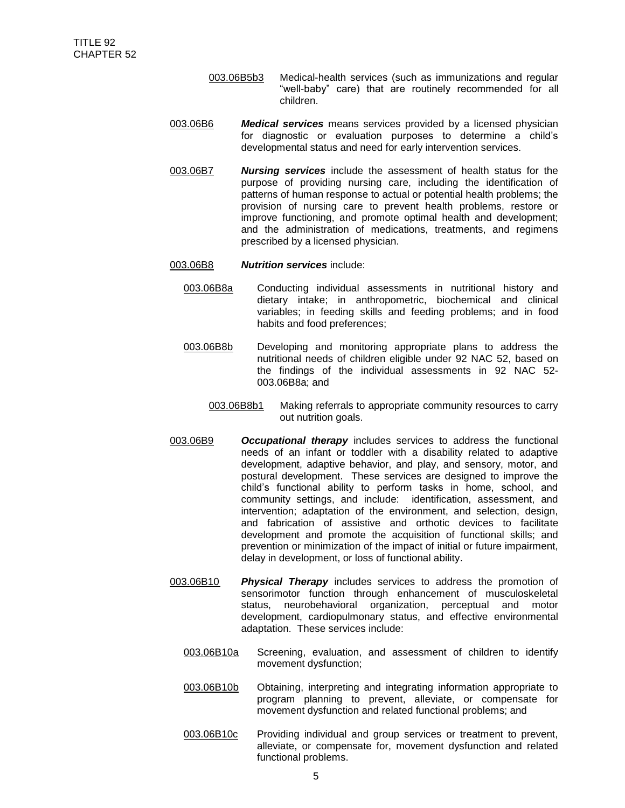- 003.06B5b3 Medical-health services (such as immunizations and regular "well-baby" care) that are routinely recommended for all children.
- 003.06B6 *Medical services* means services provided by a licensed physician for diagnostic or evaluation purposes to determine a child's developmental status and need for early intervention services.
- 003.06B7 *Nursing services* include the assessment of health status for the purpose of providing nursing care, including the identification of patterns of human response to actual or potential health problems; the provision of nursing care to prevent health problems, restore or improve functioning, and promote optimal health and development; and the administration of medications, treatments, and regimens prescribed by a licensed physician.
- 003.06B8 *Nutrition services* include:
	- 003.06B8a Conducting individual assessments in nutritional history and dietary intake; in anthropometric, biochemical and clinical variables; in feeding skills and feeding problems; and in food habits and food preferences;
	- 003.06B8b Developing and monitoring appropriate plans to address the nutritional needs of children eligible under 92 NAC 52, based on the findings of the individual assessments in 92 NAC 52- 003.06B8a; and
		- 003.06B8b1 Making referrals to appropriate community resources to carry out nutrition goals.
- 003.06B9 *Occupational therapy* includes services to address the functional needs of an infant or toddler with a disability related to adaptive development, adaptive behavior, and play, and sensory, motor, and postural development. These services are designed to improve the child's functional ability to perform tasks in home, school, and community settings, and include: identification, assessment, and intervention; adaptation of the environment, and selection, design, and fabrication of assistive and orthotic devices to facilitate development and promote the acquisition of functional skills; and prevention or minimization of the impact of initial or future impairment, delay in development, or loss of functional ability.
- 003.06B10 *Physical Therapy* includes services to address the promotion of sensorimotor function through enhancement of musculoskeletal status, neurobehavioral organization, perceptual and motor development, cardiopulmonary status, and effective environmental adaptation. These services include:
	- 003.06B10a Screening, evaluation, and assessment of children to identify movement dysfunction;
	- 003.06B10b Obtaining, interpreting and integrating information appropriate to program planning to prevent, alleviate, or compensate for movement dysfunction and related functional problems; and
	- 003.06B10c Providing individual and group services or treatment to prevent, alleviate, or compensate for, movement dysfunction and related functional problems.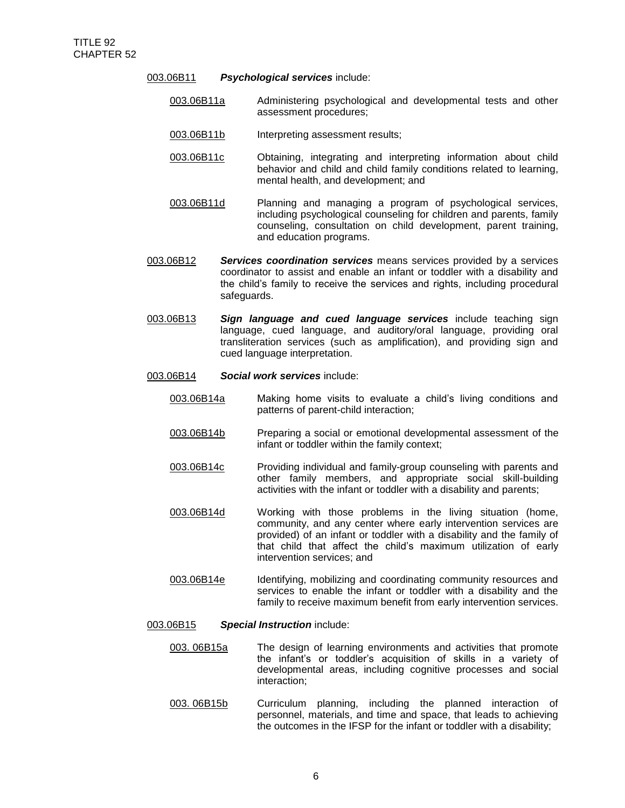- 003.06B11 *Psychological services* include:
	- 003.06B11a Administering psychological and developmental tests and other assessment procedures;
	- 003.06B11b Interpreting assessment results;
	- 003.06B11c Obtaining, integrating and interpreting information about child behavior and child and child family conditions related to learning, mental health, and development; and
	- 003.06B11d Planning and managing a program of psychological services, including psychological counseling for children and parents, family counseling, consultation on child development, parent training, and education programs.
- 003.06B12 *Services coordination services* means services provided by a services coordinator to assist and enable an infant or toddler with a disability and the child's family to receive the services and rights, including procedural safeguards.
- 003.06B13 *Sign language and cued language services* include teaching sign language, cued language, and auditory/oral language, providing oral transliteration services (such as amplification), and providing sign and cued language interpretation.
- 003.06B14 *Social work services* include:
	- 003.06B14a Making home visits to evaluate a child's living conditions and patterns of parent-child interaction;
	- 003.06B14b Preparing a social or emotional developmental assessment of the infant or toddler within the family context;
	- 003.06B14c Providing individual and family-group counseling with parents and other family members, and appropriate social skill-building activities with the infant or toddler with a disability and parents;
	- 003.06B14d Working with those problems in the living situation (home, community, and any center where early intervention services are provided) of an infant or toddler with a disability and the family of that child that affect the child's maximum utilization of early intervention services; and
	- 003.06B14e Identifying, mobilizing and coordinating community resources and services to enable the infant or toddler with a disability and the family to receive maximum benefit from early intervention services.
- 003.06B15 *Special Instruction* include:
	- 003. 06B15a The design of learning environments and activities that promote the infant's or toddler's acquisition of skills in a variety of developmental areas, including cognitive processes and social interaction;
	- 003. 06B15b Curriculum planning, including the planned interaction of personnel, materials, and time and space, that leads to achieving the outcomes in the IFSP for the infant or toddler with a disability;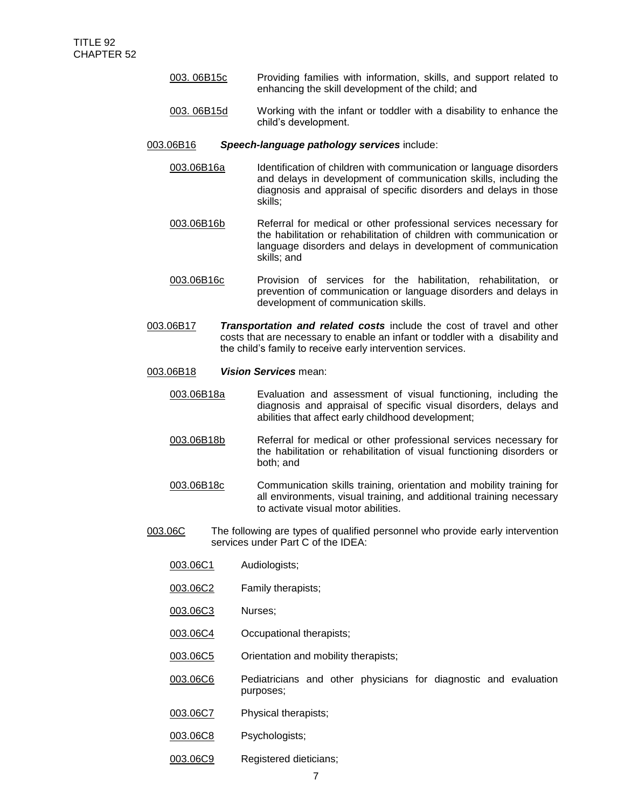- 003. 06B15c Providing families with information, skills, and support related to enhancing the skill development of the child; and
- 003. 06B15d Working with the infant or toddler with a disability to enhance the child's development.

#### 003.06B16 *Speech-language pathology services* include:

- 003.06B16a Identification of children with communication or language disorders and delays in development of communication skills, including the diagnosis and appraisal of specific disorders and delays in those skills;
- 003.06B16b Referral for medical or other professional services necessary for the habilitation or rehabilitation of children with communication or language disorders and delays in development of communication skills; and
- 003.06B16c Provision of services for the habilitation, rehabilitation, or prevention of communication or language disorders and delays in development of communication skills.
- 003.06B17 *Transportation and related costs* include the cost of travel and other costs that are necessary to enable an infant or toddler with a disability and the child's family to receive early intervention services.
- 003.06B18 *Vision Services* mean:
	- 003.06B18a Evaluation and assessment of visual functioning, including the diagnosis and appraisal of specific visual disorders, delays and abilities that affect early childhood development;
	- 003.06B18b Referral for medical or other professional services necessary for the habilitation or rehabilitation of visual functioning disorders or both; and
	- 003.06B18c Communication skills training, orientation and mobility training for all environments, visual training, and additional training necessary to activate visual motor abilities.
- 003.06C The following are types of qualified personnel who provide early intervention services under Part C of the IDEA:
	- 003.06C1 Audiologists;
	- 003.06C2 Family therapists;
	- 003.06C3 Nurses;
	- 003.06C4 Occupational therapists;
	- 003.06C5 Orientation and mobility therapists;
	- 003.06C6 Pediatricians and other physicians for diagnostic and evaluation purposes;
	- 003.06C7 Physical therapists;
	- 003.06C8 Psychologists;
	- 003.06C9 Registered dieticians;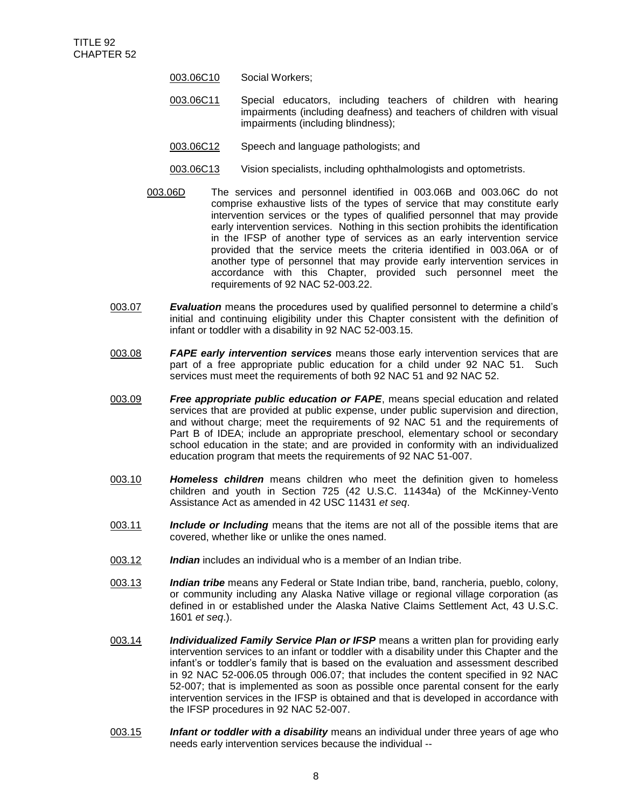- 003.06C10 Social Workers;
- 003.06C11 Special educators, including teachers of children with hearing impairments (including deafness) and teachers of children with visual impairments (including blindness);
- 003.06C12 Speech and language pathologists; and
- 003.06C13 Vision specialists, including ophthalmologists and optometrists.
- 003.06D The services and personnel identified in 003.06B and 003.06C do not comprise exhaustive lists of the types of service that may constitute early intervention services or the types of qualified personnel that may provide early intervention services. Nothing in this section prohibits the identification in the IFSP of another type of services as an early intervention service provided that the service meets the criteria identified in 003.06A or of another type of personnel that may provide early intervention services in accordance with this Chapter, provided such personnel meet the requirements of 92 NAC 52-003.22.
- 003.07 *Evaluation* means the procedures used by qualified personnel to determine a child's initial and continuing eligibility under this Chapter consistent with the definition of infant or toddler with a disability in 92 NAC 52-003.15.
- 003.08 *FAPE early intervention services* means those early intervention services that are part of a free appropriate public education for a child under 92 NAC 51. Such services must meet the requirements of both 92 NAC 51 and 92 NAC 52.
- 003.09 *Free appropriate public education or FAPE*, means special education and related services that are provided at public expense, under public supervision and direction, and without charge; meet the requirements of 92 NAC 51 and the requirements of Part B of IDEA; include an appropriate preschool, elementary school or secondary school education in the state; and are provided in conformity with an individualized education program that meets the requirements of 92 NAC 51-007.
- 003.10 *Homeless children* means children who meet the definition given to homeless children and youth in Section 725 (42 U.S.C. 11434a) of the McKinney-Vento Assistance Act as amended in 42 USC 11431 *et seq*.
- 003.11 *Include or Including* means that the items are not all of the possible items that are covered, whether like or unlike the ones named.
- 003.12 *Indian* includes an individual who is a member of an Indian tribe.
- 003.13 *Indian tribe* means any Federal or State Indian tribe, band, rancheria, pueblo, colony, or community including any Alaska Native village or regional village corporation (as defined in or established under the Alaska Native Claims Settlement Act, 43 U.S.C. 1601 *et seq*.).
- 003.14 *Individualized Family Service Plan or IFSP* means a written plan for providing early intervention services to an infant or toddler with a disability under this Chapter and the infant's or toddler's family that is based on the evaluation and assessment described in 92 NAC 52-006.05 through 006.07; that includes the content specified in 92 NAC 52-007; that is implemented as soon as possible once parental consent for the early intervention services in the IFSP is obtained and that is developed in accordance with the IFSP procedures in 92 NAC 52-007.
- 003.15 *Infant or toddler with a disability* means an individual under three years of age who needs early intervention services because the individual --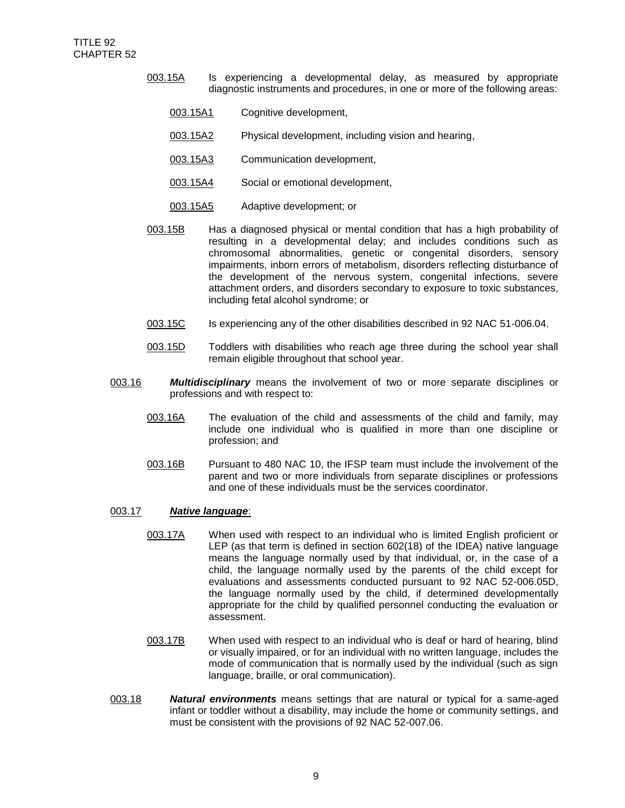- 003.15A Is experiencing a developmental delay, as measured by appropriate diagnostic instruments and procedures, in one or more of the following areas:
	- 003.15A1 Cognitive development,
	- 003.15A2 Physical development, including vision and hearing,
	- 003.15A3 Communication development,
	- 003.15A4 Social or emotional development,
	- 003.15A5 Adaptive development; or
- 003.15B Has a diagnosed physical or mental condition that has a high probability of resulting in a developmental delay; and includes conditions such as chromosomal abnormalities, genetic or congenital disorders, sensory impairments, inborn errors of metabolism, disorders reflecting disturbance of the development of the nervous system, congenital infections, severe attachment orders, and disorders secondary to exposure to toxic substances, including fetal alcohol syndrome; or
- 003.15C Is experiencing any of the other disabilities described in 92 NAC 51-006.04.
- 003.15D Toddlers with disabilities who reach age three during the school year shall remain eligible throughout that school year.
- 003.16 *Multidisciplinary* means the involvement of two or more separate disciplines or professions and with respect to:
	- 003.16A The evaluation of the child and assessments of the child and family, may include one individual who is qualified in more than one discipline or profession; and
	- 003.16B Pursuant to 480 NAC 10, the IFSP team must include the involvement of the parent and two or more individuals from separate disciplines or professions and one of these individuals must be the services coordinator.

### 003.17 *Native language*:

- 003.17A When used with respect to an individual who is limited English proficient or LEP (as that term is defined in section 602(18) of the IDEA) native language means the language normally used by that individual, or, in the case of a child, the language normally used by the parents of the child except for evaluations and assessments conducted pursuant to 92 NAC 52-006.05D, the language normally used by the child, if determined developmentally appropriate for the child by qualified personnel conducting the evaluation or assessment.
- 003.17B When used with respect to an individual who is deaf or hard of hearing, blind or visually impaired, or for an individual with no written language, includes the mode of communication that is normally used by the individual (such as sign language, braille, or oral communication).
- 003.18 *Natural environments* means settings that are natural or typical for a same-aged infant or toddler without a disability, may include the home or community settings, and must be consistent with the provisions of 92 NAC 52-007.06.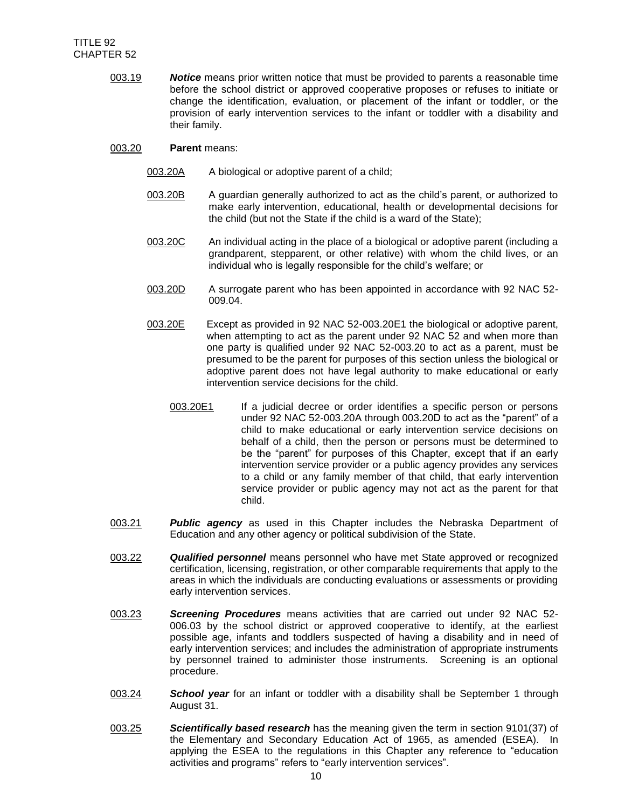- 003.19 *Notice* means prior written notice that must be provided to parents a reasonable time before the school district or approved cooperative proposes or refuses to initiate or change the identification, evaluation, or placement of the infant or toddler, or the provision of early intervention services to the infant or toddler with a disability and their family.
- 003.20 **Parent** means:
	- 003.20A A biological or adoptive parent of a child;
	- 003.20B A guardian generally authorized to act as the child's parent, or authorized to make early intervention, educational, health or developmental decisions for the child (but not the State if the child is a ward of the State);
	- 003.20C An individual acting in the place of a biological or adoptive parent (including a grandparent, stepparent, or other relative) with whom the child lives, or an individual who is legally responsible for the child's welfare; or
	- 003.20D A surrogate parent who has been appointed in accordance with 92 NAC 52- 009.04.
	- 003.20E Except as provided in 92 NAC 52-003.20E1 the biological or adoptive parent, when attempting to act as the parent under 92 NAC 52 and when more than one party is qualified under 92 NAC 52-003.20 to act as a parent, must be presumed to be the parent for purposes of this section unless the biological or adoptive parent does not have legal authority to make educational or early intervention service decisions for the child.
		- 003.20E1 If a judicial decree or order identifies a specific person or persons under 92 NAC 52-003.20A through 003.20D to act as the "parent" of a child to make educational or early intervention service decisions on behalf of a child, then the person or persons must be determined to be the "parent" for purposes of this Chapter, except that if an early intervention service provider or a public agency provides any services to a child or any family member of that child, that early intervention service provider or public agency may not act as the parent for that child.
- 003.21 *Public agency* as used in this Chapter includes the Nebraska Department of Education and any other agency or political subdivision of the State.
- 003.22 *Qualified personnel* means personnel who have met State approved or recognized certification, licensing, registration, or other comparable requirements that apply to the areas in which the individuals are conducting evaluations or assessments or providing early intervention services.
- 003.23 *Screening Procedures* means activities that are carried out under 92 NAC 52- 006.03 by the school district or approved cooperative to identify, at the earliest possible age, infants and toddlers suspected of having a disability and in need of early intervention services; and includes the administration of appropriate instruments by personnel trained to administer those instruments. Screening is an optional procedure.
- 003.24 *School year* for an infant or toddler with a disability shall be September 1 through August 31.
- 003.25 *Scientifically based research* has the meaning given the term in section 9101(37) of the Elementary and Secondary Education Act of 1965, as amended (ESEA). In applying the ESEA to the regulations in this Chapter any reference to "education activities and programs" refers to "early intervention services".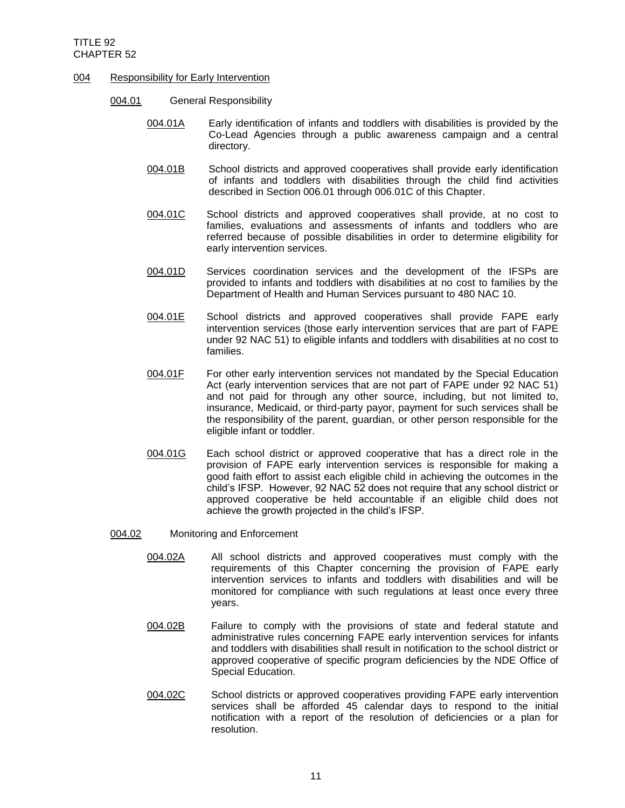## 004 Responsibility for Early Intervention

- 004.01 General Responsibility
	- 004.01A Early identification of infants and toddlers with disabilities is provided by the Co-Lead Agencies through a public awareness campaign and a central directory.
	- 004.01B School districts and approved cooperatives shall provide early identification of infants and toddlers with disabilities through the child find activities described in Section 006.01 through 006.01C of this Chapter.
	- 004.01C School districts and approved cooperatives shall provide, at no cost to families, evaluations and assessments of infants and toddlers who are referred because of possible disabilities in order to determine eligibility for early intervention services.
	- 004.01D Services coordination services and the development of the IFSPs are provided to infants and toddlers with disabilities at no cost to families by the Department of Health and Human Services pursuant to 480 NAC 10.
	- 004.01E School districts and approved cooperatives shall provide FAPE early intervention services (those early intervention services that are part of FAPE under 92 NAC 51) to eligible infants and toddlers with disabilities at no cost to families.
	- 004.01F For other early intervention services not mandated by the Special Education Act (early intervention services that are not part of FAPE under 92 NAC 51) and not paid for through any other source, including, but not limited to, insurance, Medicaid, or third-party payor, payment for such services shall be the responsibility of the parent, guardian, or other person responsible for the eligible infant or toddler.
	- 004.01G Each school district or approved cooperative that has a direct role in the provision of FAPE early intervention services is responsible for making a good faith effort to assist each eligible child in achieving the outcomes in the child's IFSP. However, 92 NAC 52 does not require that any school district or approved cooperative be held accountable if an eligible child does not achieve the growth projected in the child's IFSP.
- 004.02 Monitoring and Enforcement
	- 004.02A All school districts and approved cooperatives must comply with the requirements of this Chapter concerning the provision of FAPE early intervention services to infants and toddlers with disabilities and will be monitored for compliance with such regulations at least once every three years.
	- 004.02B Failure to comply with the provisions of state and federal statute and administrative rules concerning FAPE early intervention services for infants and toddlers with disabilities shall result in notification to the school district or approved cooperative of specific program deficiencies by the NDE Office of Special Education.
	- 004.02C School districts or approved cooperatives providing FAPE early intervention services shall be afforded 45 calendar days to respond to the initial notification with a report of the resolution of deficiencies or a plan for resolution.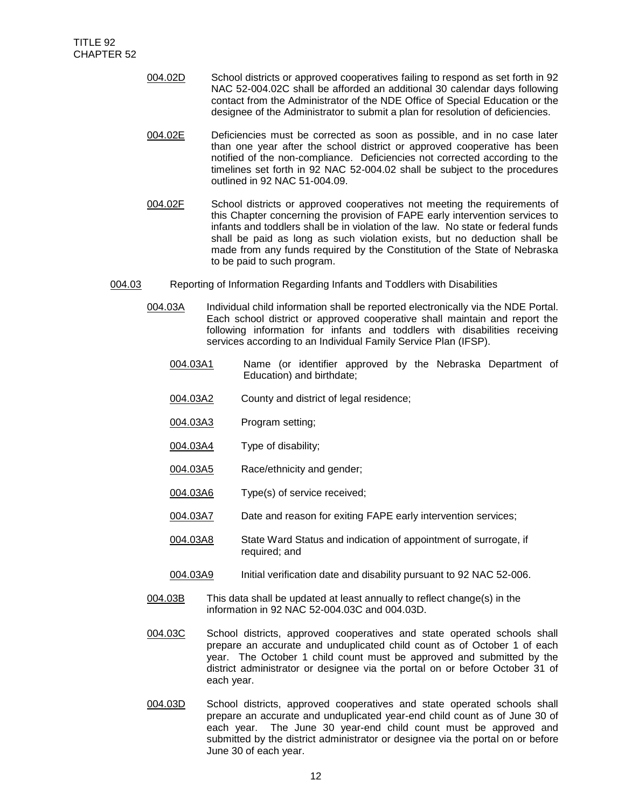- 004.02D School districts or approved cooperatives failing to respond as set forth in 92 NAC 52-004.02C shall be afforded an additional 30 calendar days following contact from the Administrator of the NDE Office of Special Education or the designee of the Administrator to submit a plan for resolution of deficiencies.
	- 004.02E Deficiencies must be corrected as soon as possible, and in no case later than one year after the school district or approved cooperative has been notified of the non-compliance. Deficiencies not corrected according to the timelines set forth in 92 NAC 52-004.02 shall be subject to the procedures outlined in 92 NAC 51-004.09.
- 004.02F School districts or approved cooperatives not meeting the requirements of this Chapter concerning the provision of FAPE early intervention services to infants and toddlers shall be in violation of the law. No state or federal funds shall be paid as long as such violation exists, but no deduction shall be made from any funds required by the Constitution of the State of Nebraska to be paid to such program.
- 004.03 Reporting of Information Regarding Infants and Toddlers with Disabilities
	- 004.03A Individual child information shall be reported electronically via the NDE Portal. Each school district or approved cooperative shall maintain and report the following information for infants and toddlers with disabilities receiving services according to an Individual Family Service Plan (IFSP).
		- 004.03A1 Name (or identifier approved by the Nebraska Department of Education) and birthdate;
		- 004.03A2 County and district of legal residence;
		- 004.03A3 Program setting;
		- 004.03A4 Type of disability;
		- 004.03A5 Race/ethnicity and gender;
		- 004.03A6 Type(s) of service received;
		- 004.03A7 Date and reason for exiting FAPE early intervention services;
		- 004.03A8 State Ward Status and indication of appointment of surrogate, if required; and
		- 004.03A9 Initial verification date and disability pursuant to 92 NAC 52-006.
	- 004.03B This data shall be updated at least annually to reflect change(s) in the information in 92 NAC 52-004.03C and 004.03D.
	- 004.03C School districts, approved cooperatives and state operated schools shall prepare an accurate and unduplicated child count as of October 1 of each year. The October 1 child count must be approved and submitted by the district administrator or designee via the portal on or before October 31 of each year.
	- 004.03D School districts, approved cooperatives and state operated schools shall prepare an accurate and unduplicated year-end child count as of June 30 of each year. The June 30 year-end child count must be approved and submitted by the district administrator or designee via the portal on or before June 30 of each year.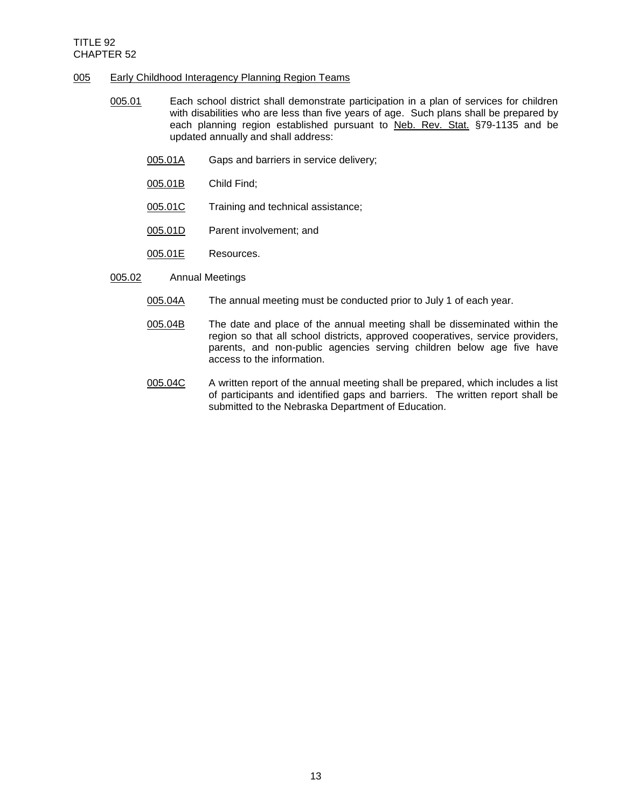## 005 Early Childhood Interagency Planning Region Teams

- 005.01 Each school district shall demonstrate participation in a plan of services for children with disabilities who are less than five years of age. Such plans shall be prepared by each planning region established pursuant to Neb. Rev. Stat. §79-1135 and be updated annually and shall address:
	- 005.01A Gaps and barriers in service delivery;
	- 005.01B Child Find;
	- 005.01C Training and technical assistance;
	- 005.01D Parent involvement; and
	- 005.01E Resources.
- 005.02 Annual Meetings
	- 005.04A The annual meeting must be conducted prior to July 1 of each year.
	- 005.04B The date and place of the annual meeting shall be disseminated within the region so that all school districts, approved cooperatives, service providers, parents, and non-public agencies serving children below age five have access to the information.
	- 005.04C A written report of the annual meeting shall be prepared, which includes a list of participants and identified gaps and barriers. The written report shall be submitted to the Nebraska Department of Education.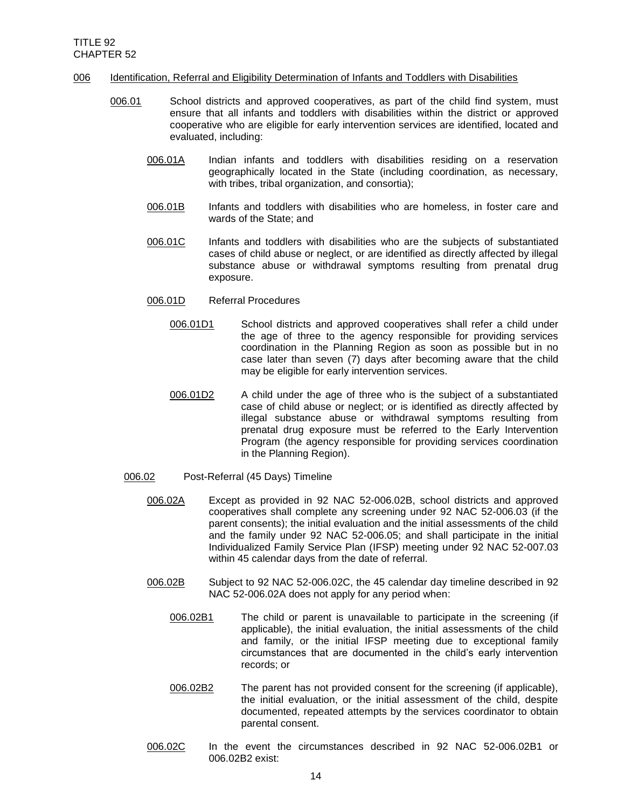## 006 Identification, Referral and Eligibility Determination of Infants and Toddlers with Disabilities

- 006.01 School districts and approved cooperatives, as part of the child find system, must ensure that all infants and toddlers with disabilities within the district or approved cooperative who are eligible for early intervention services are identified, located and evaluated, including:
	- 006.01A Indian infants and toddlers with disabilities residing on a reservation geographically located in the State (including coordination, as necessary, with tribes, tribal organization, and consortia);
	- 006.01B Infants and toddlers with disabilities who are homeless, in foster care and wards of the State; and
	- 006.01C Infants and toddlers with disabilities who are the subjects of substantiated cases of child abuse or neglect, or are identified as directly affected by illegal substance abuse or withdrawal symptoms resulting from prenatal drug exposure.
	- 006.01D Referral Procedures
		- 006.01D1 School districts and approved cooperatives shall refer a child under the age of three to the agency responsible for providing services coordination in the Planning Region as soon as possible but in no case later than seven (7) days after becoming aware that the child may be eligible for early intervention services.
		- 006.01D2 A child under the age of three who is the subject of a substantiated case of child abuse or neglect; or is identified as directly affected by illegal substance abuse or withdrawal symptoms resulting from prenatal drug exposure must be referred to the Early Intervention Program (the agency responsible for providing services coordination in the Planning Region).
	- 006.02 Post-Referral (45 Days) Timeline
		- 006.02A Except as provided in 92 NAC 52-006.02B, school districts and approved cooperatives shall complete any screening under 92 NAC 52-006.03 (if the parent consents); the initial evaluation and the initial assessments of the child and the family under 92 NAC 52-006.05; and shall participate in the initial Individualized Family Service Plan (IFSP) meeting under 92 NAC 52-007.03 within 45 calendar days from the date of referral.
		- 006.02B Subject to 92 NAC 52-006.02C, the 45 calendar day timeline described in 92 NAC 52-006.02A does not apply for any period when:
			- 006.02B1 The child or parent is unavailable to participate in the screening (if applicable), the initial evaluation, the initial assessments of the child and family, or the initial IFSP meeting due to exceptional family circumstances that are documented in the child's early intervention records; or
			- 006.02B2 The parent has not provided consent for the screening (if applicable), the initial evaluation, or the initial assessment of the child, despite documented, repeated attempts by the services coordinator to obtain parental consent.
		- 006.02C In the event the circumstances described in 92 NAC 52-006.02B1 or 006.02B2 exist: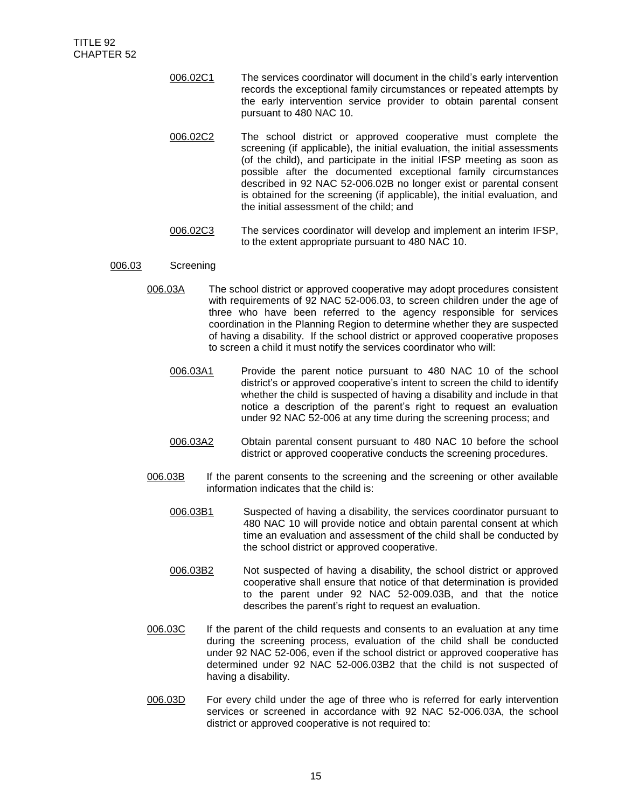- 006.02C1 The services coordinator will document in the child's early intervention records the exceptional family circumstances or repeated attempts by the early intervention service provider to obtain parental consent pursuant to 480 NAC 10.
- 006.02C2 The school district or approved cooperative must complete the screening (if applicable), the initial evaluation, the initial assessments (of the child), and participate in the initial IFSP meeting as soon as possible after the documented exceptional family circumstances described in 92 NAC 52-006.02B no longer exist or parental consent is obtained for the screening (if applicable), the initial evaluation, and the initial assessment of the child; and
- 006.02C3 The services coordinator will develop and implement an interim IFSP, to the extent appropriate pursuant to 480 NAC 10.

## 006.03 Screening

- 006.03A The school district or approved cooperative may adopt procedures consistent with requirements of 92 NAC 52-006.03, to screen children under the age of three who have been referred to the agency responsible for services coordination in the Planning Region to determine whether they are suspected of having a disability. If the school district or approved cooperative proposes to screen a child it must notify the services coordinator who will:
	- 006.03A1 Provide the parent notice pursuant to 480 NAC 10 of the school district's or approved cooperative's intent to screen the child to identify whether the child is suspected of having a disability and include in that notice a description of the parent's right to request an evaluation under 92 NAC 52-006 at any time during the screening process; and
	- 006.03A2 Obtain parental consent pursuant to 480 NAC 10 before the school district or approved cooperative conducts the screening procedures.
- 006.03B If the parent consents to the screening and the screening or other available information indicates that the child is:
	- 006.03B1 Suspected of having a disability, the services coordinator pursuant to 480 NAC 10 will provide notice and obtain parental consent at which time an evaluation and assessment of the child shall be conducted by the school district or approved cooperative.
	- 006.03B2 Not suspected of having a disability, the school district or approved cooperative shall ensure that notice of that determination is provided to the parent under 92 NAC 52-009.03B, and that the notice describes the parent's right to request an evaluation.
- 006.03C If the parent of the child requests and consents to an evaluation at any time during the screening process, evaluation of the child shall be conducted under 92 NAC 52-006, even if the school district or approved cooperative has determined under 92 NAC 52-006.03B2 that the child is not suspected of having a disability.
- 006.03D For every child under the age of three who is referred for early intervention services or screened in accordance with 92 NAC 52-006.03A, the school district or approved cooperative is not required to: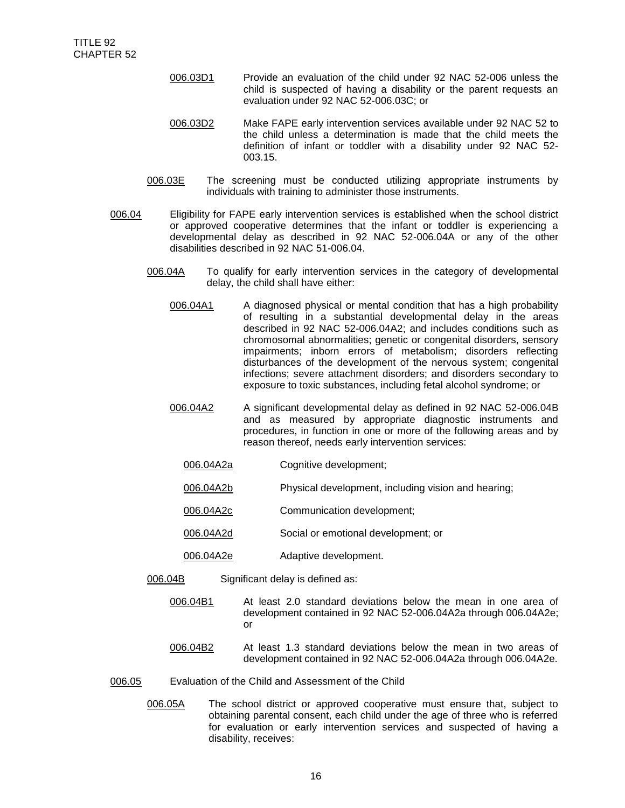- 006.03D1 Provide an evaluation of the child under 92 NAC 52-006 unless the child is suspected of having a disability or the parent requests an evaluation under 92 NAC 52-006.03C; or
- 006.03D2 Make FAPE early intervention services available under 92 NAC 52 to the child unless a determination is made that the child meets the definition of infant or toddler with a disability under 92 NAC 52- 003.15.
- 006.03E The screening must be conducted utilizing appropriate instruments by individuals with training to administer those instruments.
- 006.04 Eligibility for FAPE early intervention services is established when the school district or approved cooperative determines that the infant or toddler is experiencing a developmental delay as described in 92 NAC 52-006.04A or any of the other disabilities described in 92 NAC 51-006.04.
	- 006.04A To qualify for early intervention services in the category of developmental delay, the child shall have either:
		- 006.04A1 A diagnosed physical or mental condition that has a high probability of resulting in a substantial developmental delay in the areas described in 92 NAC 52-006.04A2; and includes conditions such as chromosomal abnormalities; genetic or congenital disorders, sensory impairments; inborn errors of metabolism; disorders reflecting disturbances of the development of the nervous system; congenital infections; severe attachment disorders; and disorders secondary to exposure to toxic substances, including fetal alcohol syndrome; or
		- 006.04A2 A significant developmental delay as defined in 92 NAC 52-006.04B and as measured by appropriate diagnostic instruments and procedures, in function in one or more of the following areas and by reason thereof, needs early intervention services:
			- 006.04A2a Cognitive development;
			- 006.04A2b Physical development, including vision and hearing;
			- 006.04A2c Communication development;
			- 006.04A2d Social or emotional development; or
			- 006.04A2e Adaptive development.
	- 006.04B Significant delay is defined as:
		- 006.04B1 At least 2.0 standard deviations below the mean in one area of development contained in 92 NAC 52-006.04A2a through 006.04A2e; or
		- 006.04B2 At least 1.3 standard deviations below the mean in two areas of development contained in 92 NAC 52-006.04A2a through 006.04A2e.
- 006.05 Evaluation of the Child and Assessment of the Child
	- 006.05A The school district or approved cooperative must ensure that, subject to obtaining parental consent, each child under the age of three who is referred for evaluation or early intervention services and suspected of having a disability, receives: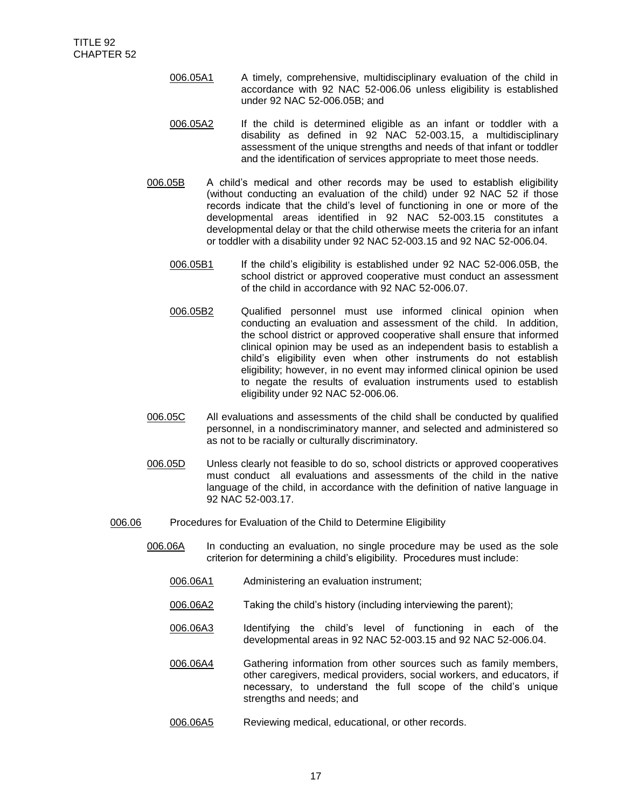- 006.05A1 A timely, comprehensive, multidisciplinary evaluation of the child in accordance with 92 NAC 52-006.06 unless eligibility is established under 92 NAC 52-006.05B; and
- 006.05A2 If the child is determined eligible as an infant or toddler with a disability as defined in 92 NAC 52-003.15, a multidisciplinary assessment of the unique strengths and needs of that infant or toddler and the identification of services appropriate to meet those needs.
- 006.05B A child's medical and other records may be used to establish eligibility (without conducting an evaluation of the child) under 92 NAC 52 if those records indicate that the child's level of functioning in one or more of the developmental areas identified in 92 NAC 52-003.15 constitutes a developmental delay or that the child otherwise meets the criteria for an infant or toddler with a disability under 92 NAC 52-003.15 and 92 NAC 52-006.04.
	- 006.05B1 If the child's eligibility is established under 92 NAC 52-006.05B, the school district or approved cooperative must conduct an assessment of the child in accordance with 92 NAC 52-006.07.
	- 006.05B2 Qualified personnel must use informed clinical opinion when conducting an evaluation and assessment of the child. In addition, the school district or approved cooperative shall ensure that informed clinical opinion may be used as an independent basis to establish a child's eligibility even when other instruments do not establish eligibility; however, in no event may informed clinical opinion be used to negate the results of evaluation instruments used to establish eligibility under 92 NAC 52-006.06.
- 006.05C All evaluations and assessments of the child shall be conducted by qualified personnel, in a nondiscriminatory manner, and selected and administered so as not to be racially or culturally discriminatory.
- 006.05D Unless clearly not feasible to do so, school districts or approved cooperatives must conduct all evaluations and assessments of the child in the native language of the child, in accordance with the definition of native language in 92 NAC 52-003.17.
- 006.06 Procedures for Evaluation of the Child to Determine Eligibility
	- 006.06A In conducting an evaluation, no single procedure may be used as the sole criterion for determining a child's eligibility. Procedures must include:
		- 006.06A1 Administering an evaluation instrument;
		- 006.06A2 Taking the child's history (including interviewing the parent);
		- 006.06A3 Identifying the child's level of functioning in each of the developmental areas in 92 NAC 52-003.15 and 92 NAC 52-006.04.
		- 006.06A4 Gathering information from other sources such as family members, other caregivers, medical providers, social workers, and educators, if necessary, to understand the full scope of the child's unique strengths and needs; and
		- 006.06A5 Reviewing medical, educational, or other records.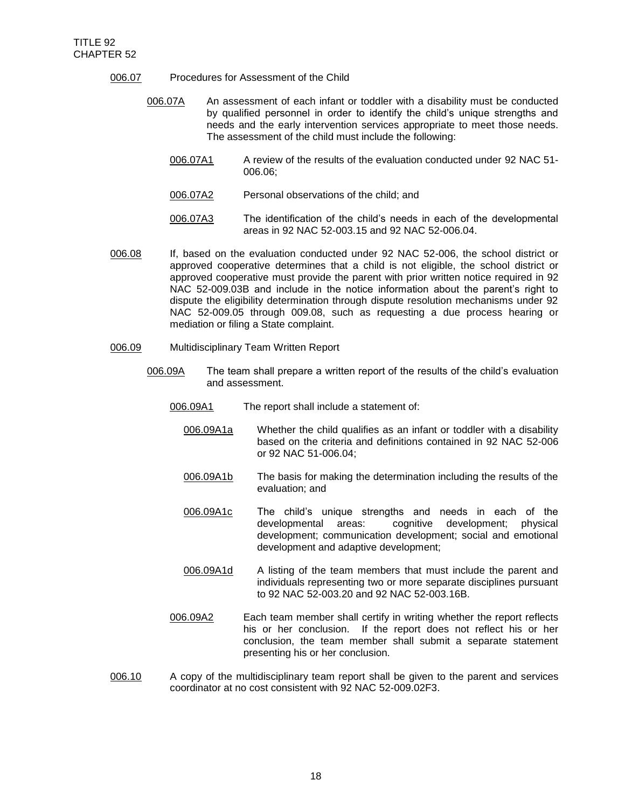- 006.07 Procedures for Assessment of the Child
	- 006.07A An assessment of each infant or toddler with a disability must be conducted by qualified personnel in order to identify the child's unique strengths and needs and the early intervention services appropriate to meet those needs. The assessment of the child must include the following:
		- 006.07A1 A review of the results of the evaluation conducted under 92 NAC 51- 006.06;
		- 006.07A2 Personal observations of the child; and
		- 006.07A3 The identification of the child's needs in each of the developmental areas in 92 NAC 52-003.15 and 92 NAC 52-006.04.
- 006.08 If, based on the evaluation conducted under 92 NAC 52-006, the school district or approved cooperative determines that a child is not eligible, the school district or approved cooperative must provide the parent with prior written notice required in 92 NAC 52-009.03B and include in the notice information about the parent's right to dispute the eligibility determination through dispute resolution mechanisms under 92 NAC 52-009.05 through 009.08, such as requesting a due process hearing or mediation or filing a State complaint.
- 006.09 Multidisciplinary Team Written Report
	- 006.09A The team shall prepare a written report of the results of the child's evaluation and assessment.
		- 006.09A1 The report shall include a statement of:
			- 006.09A1a Whether the child qualifies as an infant or toddler with a disability based on the criteria and definitions contained in 92 NAC 52-006 or 92 NAC 51-006.04;
			- 006.09A1b The basis for making the determination including the results of the evaluation; and
			- 006.09A1c The child's unique strengths and needs in each of the developmental areas: cognitive development; physical development; communication development; social and emotional development and adaptive development;
			- 006.09A1d A listing of the team members that must include the parent and individuals representing two or more separate disciplines pursuant to 92 NAC 52-003.20 and 92 NAC 52-003.16B.
		- 006.09A2 Each team member shall certify in writing whether the report reflects his or her conclusion. If the report does not reflect his or her conclusion, the team member shall submit a separate statement presenting his or her conclusion.
- 006.10 A copy of the multidisciplinary team report shall be given to the parent and services coordinator at no cost consistent with 92 NAC 52-009.02F3.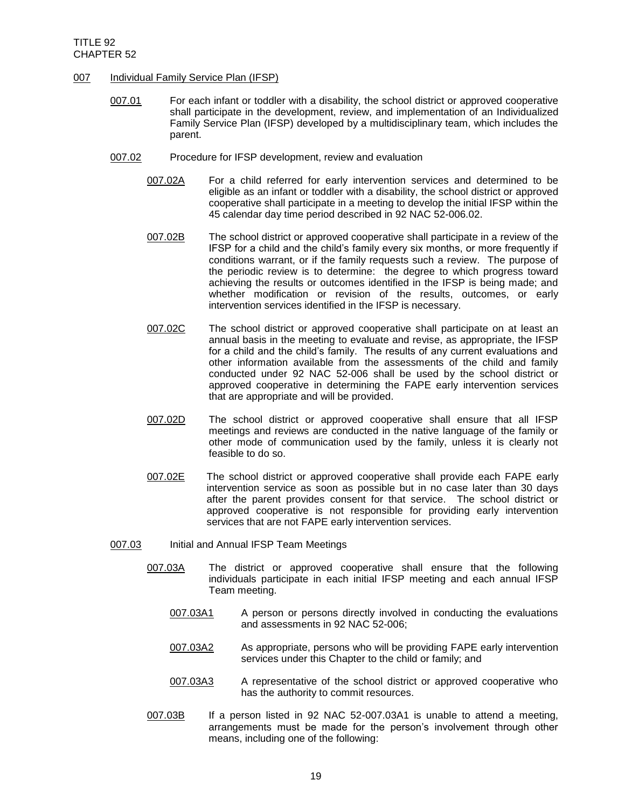## 007 Individual Family Service Plan (IFSP)

- 007.01 For each infant or toddler with a disability, the school district or approved cooperative shall participate in the development, review, and implementation of an Individualized Family Service Plan (IFSP) developed by a multidisciplinary team, which includes the parent.
- 007.02 Procedure for IFSP development, review and evaluation
	- 007.02A For a child referred for early intervention services and determined to be eligible as an infant or toddler with a disability, the school district or approved cooperative shall participate in a meeting to develop the initial IFSP within the 45 calendar day time period described in 92 NAC 52-006.02.
	- 007.02B The school district or approved cooperative shall participate in a review of the IFSP for a child and the child's family every six months, or more frequently if conditions warrant, or if the family requests such a review. The purpose of the periodic review is to determine: the degree to which progress toward achieving the results or outcomes identified in the IFSP is being made; and whether modification or revision of the results, outcomes, or early intervention services identified in the IFSP is necessary.
	- 007.02C The school district or approved cooperative shall participate on at least an annual basis in the meeting to evaluate and revise, as appropriate, the IFSP for a child and the child's family. The results of any current evaluations and other information available from the assessments of the child and family conducted under 92 NAC 52-006 shall be used by the school district or approved cooperative in determining the FAPE early intervention services that are appropriate and will be provided.
	- 007.02D The school district or approved cooperative shall ensure that all IFSP meetings and reviews are conducted in the native language of the family or other mode of communication used by the family, unless it is clearly not feasible to do so.
	- 007.02E The school district or approved cooperative shall provide each FAPE early intervention service as soon as possible but in no case later than 30 days after the parent provides consent for that service. The school district or approved cooperative is not responsible for providing early intervention services that are not FAPE early intervention services.
- 007.03 Initial and Annual IFSP Team Meetings
	- 007.03A The district or approved cooperative shall ensure that the following individuals participate in each initial IFSP meeting and each annual IFSP Team meeting.
		- 007.03A1 A person or persons directly involved in conducting the evaluations and assessments in 92 NAC 52-006;
		- 007.03A2 As appropriate, persons who will be providing FAPE early intervention services under this Chapter to the child or family; and
		- 007.03A3 A representative of the school district or approved cooperative who has the authority to commit resources.
	- 007.03B If a person listed in 92 NAC 52-007.03A1 is unable to attend a meeting, arrangements must be made for the person's involvement through other means, including one of the following: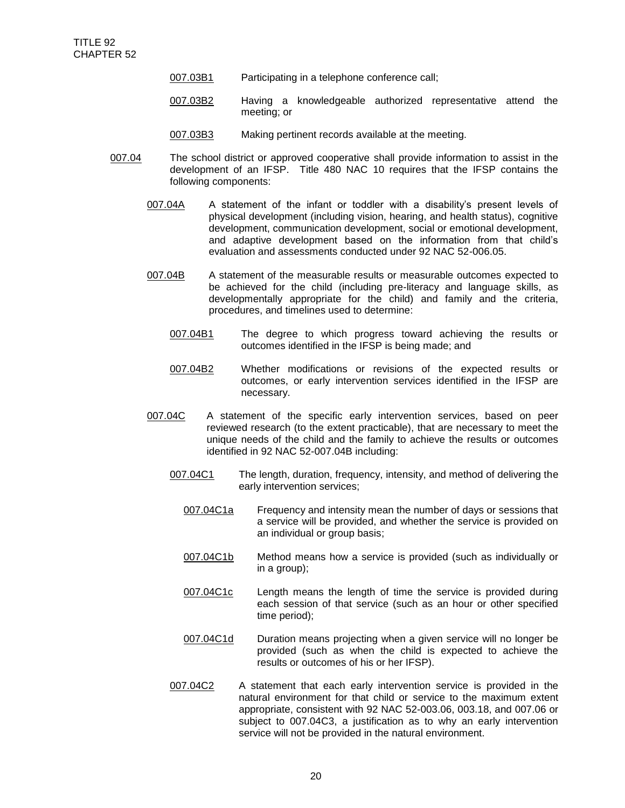- 007.03B1 Participating in a telephone conference call;
- 007.03B2 Having a knowledgeable authorized representative attend the meeting; or
- 007.03B3 Making pertinent records available at the meeting.
- 007.04 The school district or approved cooperative shall provide information to assist in the development of an IFSP. Title 480 NAC 10 requires that the IFSP contains the following components:
	- 007.04A A statement of the infant or toddler with a disability's present levels of physical development (including vision, hearing, and health status), cognitive development, communication development, social or emotional development, and adaptive development based on the information from that child's evaluation and assessments conducted under 92 NAC 52-006.05.
	- 007.04B A statement of the measurable results or measurable outcomes expected to be achieved for the child (including pre-literacy and language skills, as developmentally appropriate for the child) and family and the criteria, procedures, and timelines used to determine:
		- 007.04B1 The degree to which progress toward achieving the results or outcomes identified in the IFSP is being made; and
		- 007.04B2 Whether modifications or revisions of the expected results or outcomes, or early intervention services identified in the IFSP are necessary.
	- 007.04C A statement of the specific early intervention services, based on peer reviewed research (to the extent practicable), that are necessary to meet the unique needs of the child and the family to achieve the results or outcomes identified in 92 NAC 52-007.04B including:
		- 007.04C1 The length, duration, frequency, intensity, and method of delivering the early intervention services;
			- 007.04C1a Frequency and intensity mean the number of days or sessions that a service will be provided, and whether the service is provided on an individual or group basis;
			- 007.04C1b Method means how a service is provided (such as individually or in a group);
			- 007.04C1c Length means the length of time the service is provided during each session of that service (such as an hour or other specified time period);
			- 007.04C1d Duration means projecting when a given service will no longer be provided (such as when the child is expected to achieve the results or outcomes of his or her IFSP).
		- 007.04C2 A statement that each early intervention service is provided in the natural environment for that child or service to the maximum extent appropriate, consistent with 92 NAC 52-003.06, 003.18, and 007.06 or subject to 007.04C3, a justification as to why an early intervention service will not be provided in the natural environment.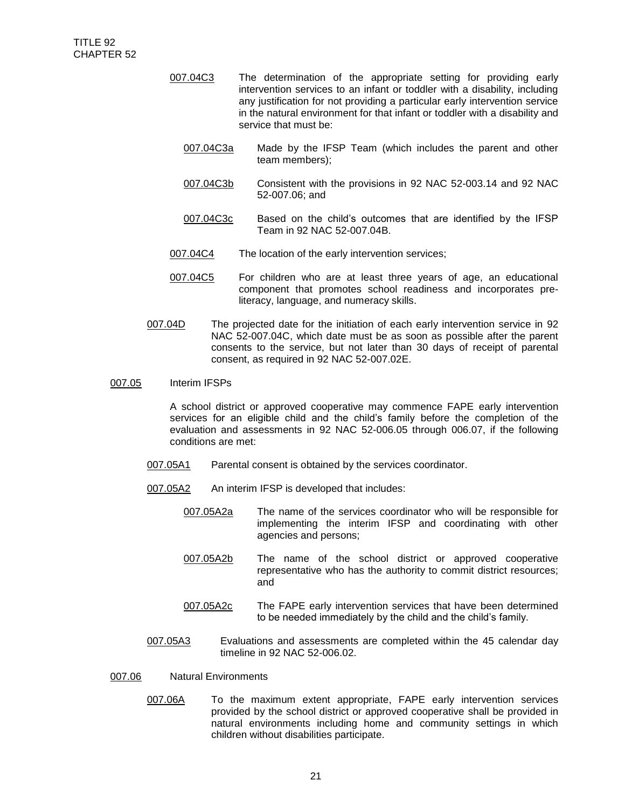- 007.04C3 The determination of the appropriate setting for providing early intervention services to an infant or toddler with a disability, including any justification for not providing a particular early intervention service in the natural environment for that infant or toddler with a disability and service that must be:
	- 007.04C3a Made by the IFSP Team (which includes the parent and other team members);
	- 007.04C3b Consistent with the provisions in 92 NAC 52-003.14 and 92 NAC 52-007.06; and
	- 007.04C3c Based on the child's outcomes that are identified by the IFSP Team in 92 NAC 52-007.04B.
- 007.04C4 The location of the early intervention services;
- 007.04C5 For children who are at least three years of age, an educational component that promotes school readiness and incorporates preliteracy, language, and numeracy skills.
- 007.04D The projected date for the initiation of each early intervention service in 92 NAC 52-007.04C, which date must be as soon as possible after the parent consents to the service, but not later than 30 days of receipt of parental consent, as required in 92 NAC 52-007.02E.

#### 007.05 Interim IFSPs

A school district or approved cooperative may commence FAPE early intervention services for an eligible child and the child's family before the completion of the evaluation and assessments in 92 NAC 52-006.05 through 006.07, if the following conditions are met:

- 007.05A1 Parental consent is obtained by the services coordinator.
- 007.05A2 An interim IFSP is developed that includes:
	- 007.05A2a The name of the services coordinator who will be responsible for implementing the interim IFSP and coordinating with other agencies and persons;
	- 007.05A2b The name of the school district or approved cooperative representative who has the authority to commit district resources; and
	- 007.05A2c The FAPE early intervention services that have been determined to be needed immediately by the child and the child's family.
- 007.05A3 Evaluations and assessments are completed within the 45 calendar day timeline in 92 NAC 52-006.02.
- 007.06 Natural Environments
	- 007.06A To the maximum extent appropriate, FAPE early intervention services provided by the school district or approved cooperative shall be provided in natural environments including home and community settings in which children without disabilities participate.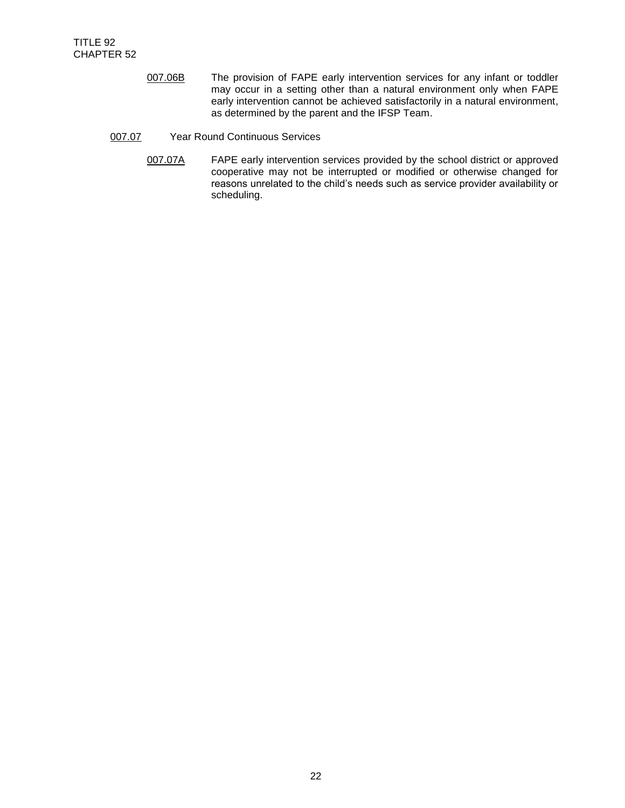- 007.06B The provision of FAPE early intervention services for any infant or toddler may occur in a setting other than a natural environment only when FAPE early intervention cannot be achieved satisfactorily in a natural environment, as determined by the parent and the IFSP Team.
- 007.07 Year Round Continuous Services
	- 007.07A FAPE early intervention services provided by the school district or approved cooperative may not be interrupted or modified or otherwise changed for reasons unrelated to the child's needs such as service provider availability or scheduling.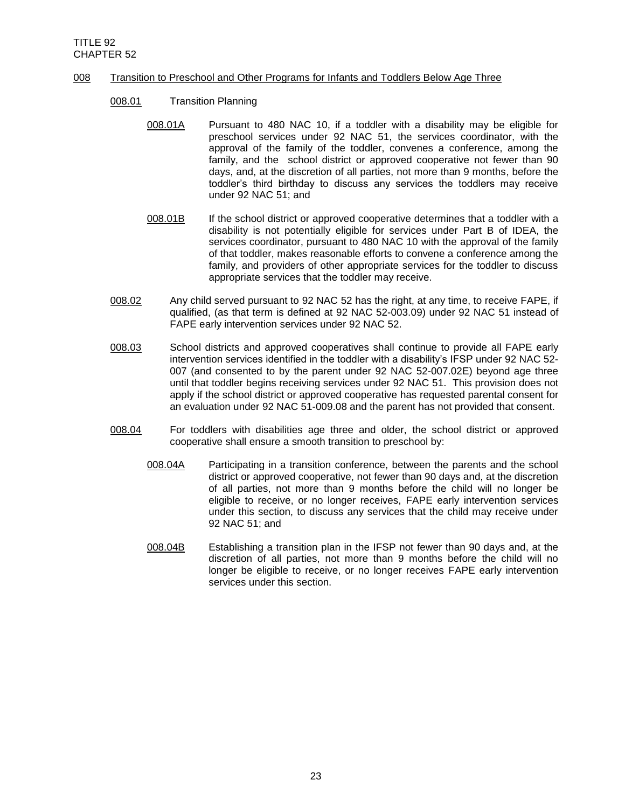## 008 Transition to Preschool and Other Programs for Infants and Toddlers Below Age Three

- 008.01 Transition Planning
	- 008.01A Pursuant to 480 NAC 10, if a toddler with a disability may be eligible for preschool services under 92 NAC 51, the services coordinator, with the approval of the family of the toddler, convenes a conference, among the family, and the school district or approved cooperative not fewer than 90 days, and, at the discretion of all parties, not more than 9 months, before the toddler's third birthday to discuss any services the toddlers may receive under 92 NAC 51; and
	- 008.01B If the school district or approved cooperative determines that a toddler with a disability is not potentially eligible for services under Part B of IDEA, the services coordinator, pursuant to 480 NAC 10 with the approval of the family of that toddler, makes reasonable efforts to convene a conference among the family, and providers of other appropriate services for the toddler to discuss appropriate services that the toddler may receive.
- 008.02 Any child served pursuant to 92 NAC 52 has the right, at any time, to receive FAPE, if qualified, (as that term is defined at 92 NAC 52-003.09) under 92 NAC 51 instead of FAPE early intervention services under 92 NAC 52.
- 008.03 School districts and approved cooperatives shall continue to provide all FAPE early intervention services identified in the toddler with a disability's IFSP under 92 NAC 52- 007 (and consented to by the parent under 92 NAC 52-007.02E) beyond age three until that toddler begins receiving services under 92 NAC 51. This provision does not apply if the school district or approved cooperative has requested parental consent for an evaluation under 92 NAC 51-009.08 and the parent has not provided that consent.
- 008.04 For toddlers with disabilities age three and older, the school district or approved cooperative shall ensure a smooth transition to preschool by:
	- 008.04A Participating in a transition conference, between the parents and the school district or approved cooperative, not fewer than 90 days and, at the discretion of all parties, not more than 9 months before the child will no longer be eligible to receive, or no longer receives, FAPE early intervention services under this section, to discuss any services that the child may receive under 92 NAC 51; and
	- 008.04B Establishing a transition plan in the IFSP not fewer than 90 days and, at the discretion of all parties, not more than 9 months before the child will no longer be eligible to receive, or no longer receives FAPE early intervention services under this section.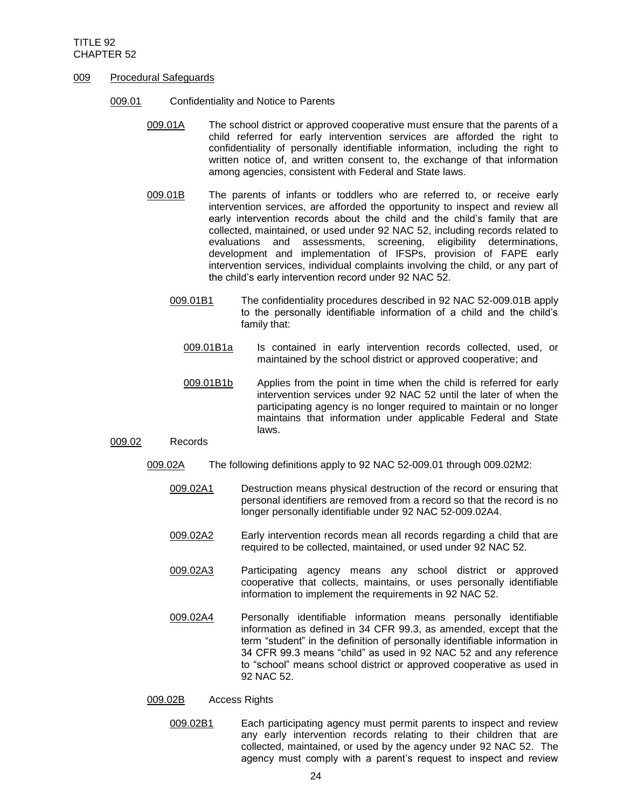- 009 Procedural Safeguards
	- 009.01 Confidentiality and Notice to Parents
		- 009.01A The school district or approved cooperative must ensure that the parents of a child referred for early intervention services are afforded the right to confidentiality of personally identifiable information, including the right to written notice of, and written consent to, the exchange of that information among agencies, consistent with Federal and State laws.
		- 009.01B The parents of infants or toddlers who are referred to, or receive early intervention services, are afforded the opportunity to inspect and review all early intervention records about the child and the child's family that are collected, maintained, or used under 92 NAC 52, including records related to evaluations and assessments, screening, eligibility determinations, development and implementation of IFSPs, provision of FAPE early intervention services, individual complaints involving the child, or any part of the child's early intervention record under 92 NAC 52.
			- 009.01B1 The confidentiality procedures described in 92 NAC 52-009.01B apply to the personally identifiable information of a child and the child's family that:
				- 009.01B1a Is contained in early intervention records collected, used, or maintained by the school district or approved cooperative; and
				- 009.01B1b Applies from the point in time when the child is referred for early intervention services under 92 NAC 52 until the later of when the participating agency is no longer required to maintain or no longer maintains that information under applicable Federal and State laws.

### 009.02 Records

- 009.02A The following definitions apply to 92 NAC 52-009.01 through 009.02M2:
	- 009.02A1 Destruction means physical destruction of the record or ensuring that personal identifiers are removed from a record so that the record is no longer personally identifiable under 92 NAC 52-009.02A4.
	- 009.02A2 Early intervention records mean all records regarding a child that are required to be collected, maintained, or used under 92 NAC 52.
	- 009.02A3 Participating agency means any school district or approved cooperative that collects, maintains, or uses personally identifiable information to implement the requirements in 92 NAC 52.
	- 009.02A4 Personally identifiable information means personally identifiable information as defined in 34 CFR 99.3, as amended, except that the term "student" in the definition of personally identifiable information in 34 CFR 99.3 means "child" as used in 92 NAC 52 and any reference to "school" means school district or approved cooperative as used in 92 NAC 52.

### 009.02B Access Rights

009.02B1 Each participating agency must permit parents to inspect and review any early intervention records relating to their children that are collected, maintained, or used by the agency under 92 NAC 52. The agency must comply with a parent's request to inspect and review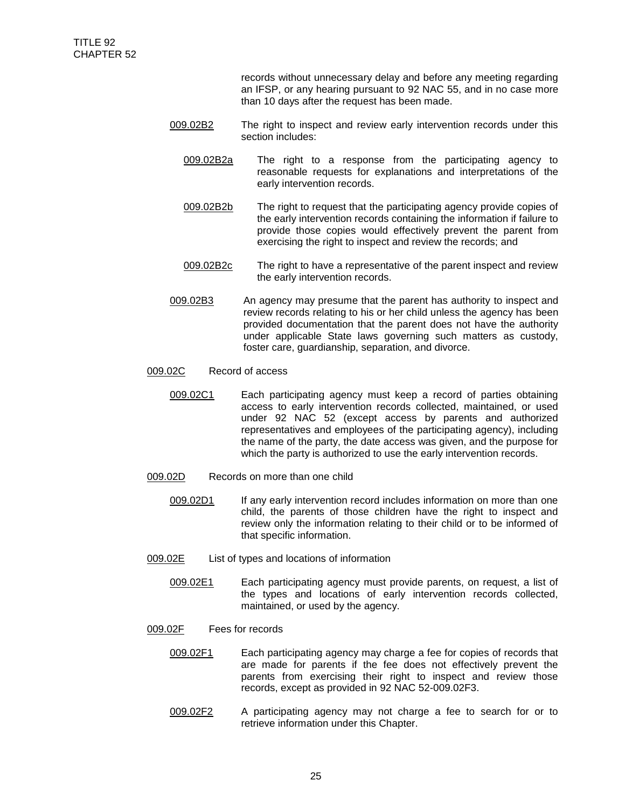records without unnecessary delay and before any meeting regarding an IFSP, or any hearing pursuant to 92 NAC 55, and in no case more than 10 days after the request has been made.

- 009.02B2 The right to inspect and review early intervention records under this section includes:
	- 009.02B2a The right to a response from the participating agency to reasonable requests for explanations and interpretations of the early intervention records.
	- 009.02B2b The right to request that the participating agency provide copies of the early intervention records containing the information if failure to provide those copies would effectively prevent the parent from exercising the right to inspect and review the records; and
	- 009.02B2c The right to have a representative of the parent inspect and review the early intervention records.
- 009.02B3 An agency may presume that the parent has authority to inspect and review records relating to his or her child unless the agency has been provided documentation that the parent does not have the authority under applicable State laws governing such matters as custody, foster care, guardianship, separation, and divorce.

## 009.02C Record of access

- 009.02C1 Each participating agency must keep a record of parties obtaining access to early intervention records collected, maintained, or used under 92 NAC 52 (except access by parents and authorized representatives and employees of the participating agency), including the name of the party, the date access was given, and the purpose for which the party is authorized to use the early intervention records.
- 009.02D Records on more than one child
	- 009.02D1 If any early intervention record includes information on more than one child, the parents of those children have the right to inspect and review only the information relating to their child or to be informed of that specific information.
- 009.02E List of types and locations of information
	- 009.02E1 Each participating agency must provide parents, on request, a list of the types and locations of early intervention records collected, maintained, or used by the agency.
- 009.02F Fees for records
	- 009.02F1 Each participating agency may charge a fee for copies of records that are made for parents if the fee does not effectively prevent the parents from exercising their right to inspect and review those records, except as provided in 92 NAC 52-009.02F3.
	- 009.02F2 A participating agency may not charge a fee to search for or to retrieve information under this Chapter.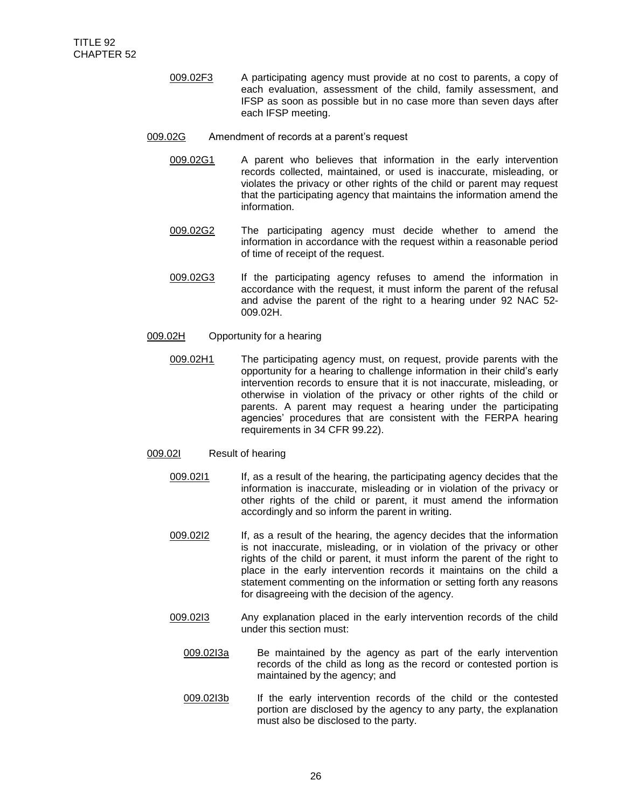- 009.02F3 A participating agency must provide at no cost to parents, a copy of each evaluation, assessment of the child, family assessment, and IFSP as soon as possible but in no case more than seven days after each IFSP meeting.
- 009.02G Amendment of records at a parent's request
	- 009.02G1 A parent who believes that information in the early intervention records collected, maintained, or used is inaccurate, misleading, or violates the privacy or other rights of the child or parent may request that the participating agency that maintains the information amend the information.
	- 009.02G2 The participating agency must decide whether to amend the information in accordance with the request within a reasonable period of time of receipt of the request.
	- 009.02G3 If the participating agency refuses to amend the information in accordance with the request, it must inform the parent of the refusal and advise the parent of the right to a hearing under 92 NAC 52- 009.02H.
- 009.02H Opportunity for a hearing
	- 009.02H1 The participating agency must, on request, provide parents with the opportunity for a hearing to challenge information in their child's early intervention records to ensure that it is not inaccurate, misleading, or otherwise in violation of the privacy or other rights of the child or parents. A parent may request a hearing under the participating agencies' procedures that are consistent with the FERPA hearing requirements in 34 CFR 99.22).

## 009.02I Result of hearing

- 009.0211 If, as a result of the hearing, the participating agency decides that the information is inaccurate, misleading or in violation of the privacy or other rights of the child or parent, it must amend the information accordingly and so inform the parent in writing.
- 009.02I2 If, as a result of the hearing, the agency decides that the information is not inaccurate, misleading, or in violation of the privacy or other rights of the child or parent, it must inform the parent of the right to place in the early intervention records it maintains on the child a statement commenting on the information or setting forth any reasons for disagreeing with the decision of the agency.
- 009.0213 Any explanation placed in the early intervention records of the child under this section must:
	- 009.02l3a Be maintained by the agency as part of the early intervention records of the child as long as the record or contested portion is maintained by the agency; and
	- 009.02l3b If the early intervention records of the child or the contested portion are disclosed by the agency to any party, the explanation must also be disclosed to the party.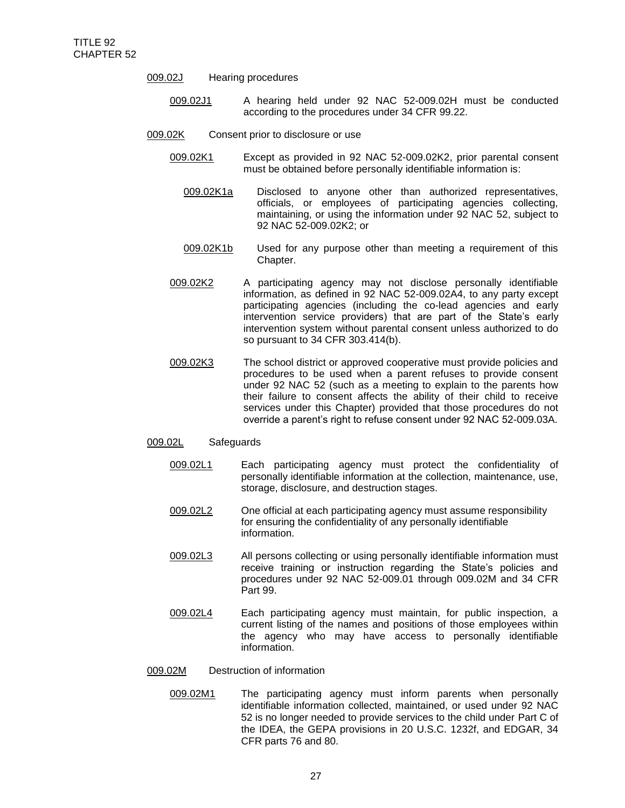- 009.02J Hearing procedures
	- 009.02J1 A hearing held under 92 NAC 52-009.02H must be conducted according to the procedures under 34 CFR 99.22.
- 009.02K Consent prior to disclosure or use
	- 009.02K1 Except as provided in 92 NAC 52-009.02K2, prior parental consent must be obtained before personally identifiable information is:
		- 009.02K1a Disclosed to anyone other than authorized representatives, officials, or employees of participating agencies collecting, maintaining, or using the information under 92 NAC 52, subject to 92 NAC 52-009.02K2; or
		- 009.02K1b Used for any purpose other than meeting a requirement of this Chapter.
	- 009.02K2 A participating agency may not disclose personally identifiable information, as defined in 92 NAC 52-009.02A4, to any party except participating agencies (including the co-lead agencies and early intervention service providers) that are part of the State's early intervention system without parental consent unless authorized to do so pursuant to 34 CFR 303.414(b).
	- 009.02K3 The school district or approved cooperative must provide policies and procedures to be used when a parent refuses to provide consent under 92 NAC 52 (such as a meeting to explain to the parents how their failure to consent affects the ability of their child to receive services under this Chapter) provided that those procedures do not override a parent's right to refuse consent under 92 NAC 52-009.03A.

### 009.02L Safeguards

- 009.02L1 Each participating agency must protect the confidentiality of personally identifiable information at the collection, maintenance, use, storage, disclosure, and destruction stages.
- 009.02L2 One official at each participating agency must assume responsibility for ensuring the confidentiality of any personally identifiable information.
- 009.02L3 All persons collecting or using personally identifiable information must receive training or instruction regarding the State's policies and procedures under 92 NAC 52-009.01 through 009.02M and 34 CFR Part 99.
- 009.02L4 Each participating agency must maintain, for public inspection, a current listing of the names and positions of those employees within the agency who may have access to personally identifiable information.
- 009.02M Destruction of information
	- 009.02M1 The participating agency must inform parents when personally identifiable information collected, maintained, or used under 92 NAC 52 is no longer needed to provide services to the child under Part C of the IDEA, the GEPA provisions in 20 U.S.C. 1232f, and EDGAR, 34 CFR parts 76 and 80.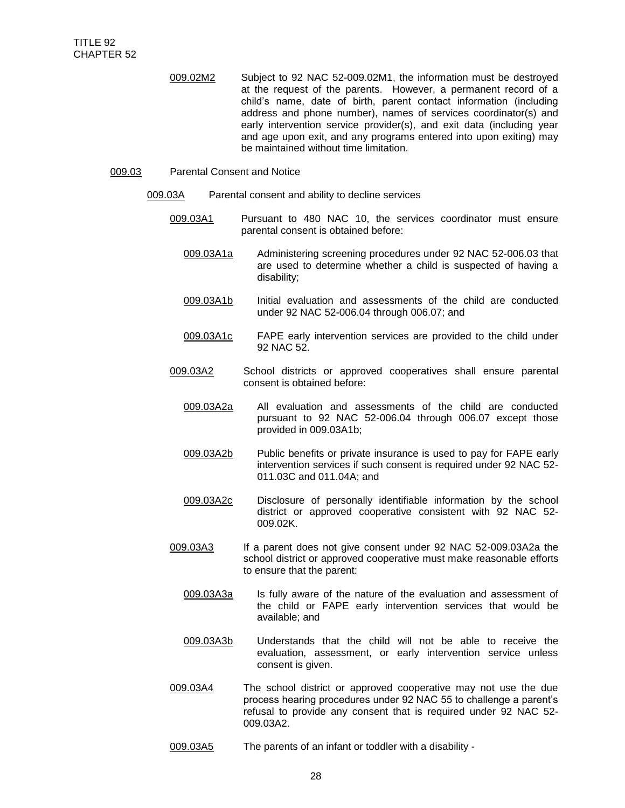009.02M2 Subject to 92 NAC 52-009.02M1, the information must be destroyed at the request of the parents. However, a permanent record of a child's name, date of birth, parent contact information (including address and phone number), names of services coordinator(s) and early intervention service provider(s), and exit data (including year and age upon exit, and any programs entered into upon exiting) may be maintained without time limitation.

#### 009.03 Parental Consent and Notice

- 009.03A Parental consent and ability to decline services
	- 009.03A1 Pursuant to 480 NAC 10, the services coordinator must ensure parental consent is obtained before:
		- 009.03A1a Administering screening procedures under 92 NAC 52-006.03 that are used to determine whether a child is suspected of having a disability;
		- 009.03A1b Initial evaluation and assessments of the child are conducted under 92 NAC 52-006.04 through 006.07; and
		- 009.03A1c FAPE early intervention services are provided to the child under 92 NAC 52.
	- 009.03A2 School districts or approved cooperatives shall ensure parental consent is obtained before:
		- 009.03A2a All evaluation and assessments of the child are conducted pursuant to 92 NAC 52-006.04 through 006.07 except those provided in 009.03A1b;
		- 009.03A2b Public benefits or private insurance is used to pay for FAPE early intervention services if such consent is required under 92 NAC 52- 011.03C and 011.04A; and
		- 009.03A2c Disclosure of personally identifiable information by the school district or approved cooperative consistent with 92 NAC 52- 009.02K.
	- 009.03A3 If a parent does not give consent under 92 NAC 52-009.03A2a the school district or approved cooperative must make reasonable efforts to ensure that the parent:
		- 009.03A3a Is fully aware of the nature of the evaluation and assessment of the child or FAPE early intervention services that would be available; and
		- 009.03A3b Understands that the child will not be able to receive the evaluation, assessment, or early intervention service unless consent is given.
	- 009.03A4 The school district or approved cooperative may not use the due process hearing procedures under 92 NAC 55 to challenge a parent's refusal to provide any consent that is required under 92 NAC 52- 009.03A2.
	- 009.03A5 The parents of an infant or toddler with a disability -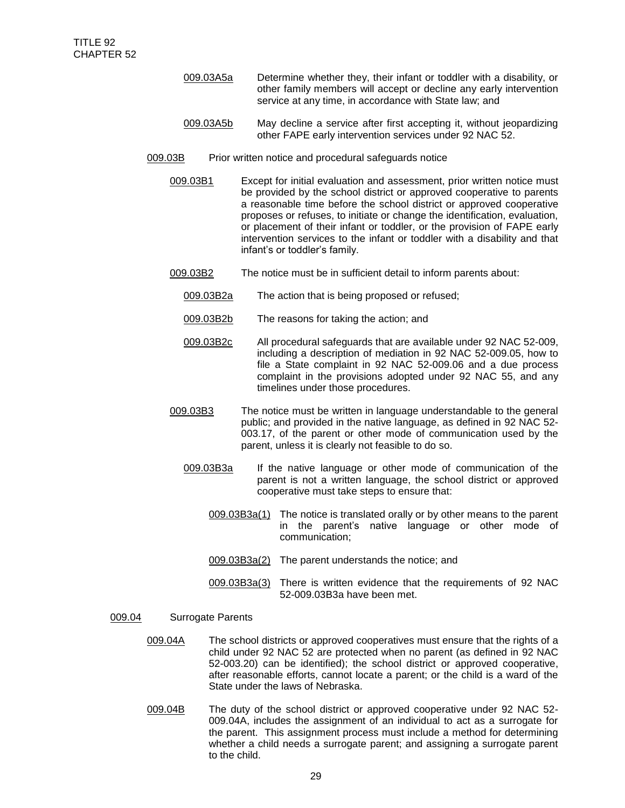- 009.03A5a Determine whether they, their infant or toddler with a disability, or other family members will accept or decline any early intervention service at any time, in accordance with State law; and
- 009.03A5b May decline a service after first accepting it, without jeopardizing other FAPE early intervention services under 92 NAC 52.
- 009.03B Prior written notice and procedural safeguards notice
	- 009.03B1 Except for initial evaluation and assessment, prior written notice must be provided by the school district or approved cooperative to parents a reasonable time before the school district or approved cooperative proposes or refuses, to initiate or change the identification, evaluation, or placement of their infant or toddler, or the provision of FAPE early intervention services to the infant or toddler with a disability and that infant's or toddler's family.
	- 009.03B2 The notice must be in sufficient detail to inform parents about:
		- 009.03B2a The action that is being proposed or refused;
		- 009.03B2b The reasons for taking the action; and
		- 009.03B2c All procedural safeguards that are available under 92 NAC 52-009, including a description of mediation in 92 NAC 52-009.05, how to file a State complaint in 92 NAC 52-009.06 and a due process complaint in the provisions adopted under 92 NAC 55, and any timelines under those procedures.
	- 009.03B3 The notice must be written in language understandable to the general public; and provided in the native language, as defined in 92 NAC 52- 003.17, of the parent or other mode of communication used by the parent, unless it is clearly not feasible to do so.
		- 009.03B3a If the native language or other mode of communication of the parent is not a written language, the school district or approved cooperative must take steps to ensure that:
			- 009.03B3a(1) The notice is translated orally or by other means to the parent in the parent's native language or other mode of communication;
			- 009.03B3a(2) The parent understands the notice; and
			- 009.03B3a(3) There is written evidence that the requirements of 92 NAC 52-009.03B3a have been met.

## 009.04 Surrogate Parents

- 009.04A The school districts or approved cooperatives must ensure that the rights of a child under 92 NAC 52 are protected when no parent (as defined in 92 NAC 52-003.20) can be identified); the school district or approved cooperative, after reasonable efforts, cannot locate a parent; or the child is a ward of the State under the laws of Nebraska.
- 009.04B The duty of the school district or approved cooperative under 92 NAC 52-009.04A, includes the assignment of an individual to act as a surrogate for the parent. This assignment process must include a method for determining whether a child needs a surrogate parent; and assigning a surrogate parent to the child.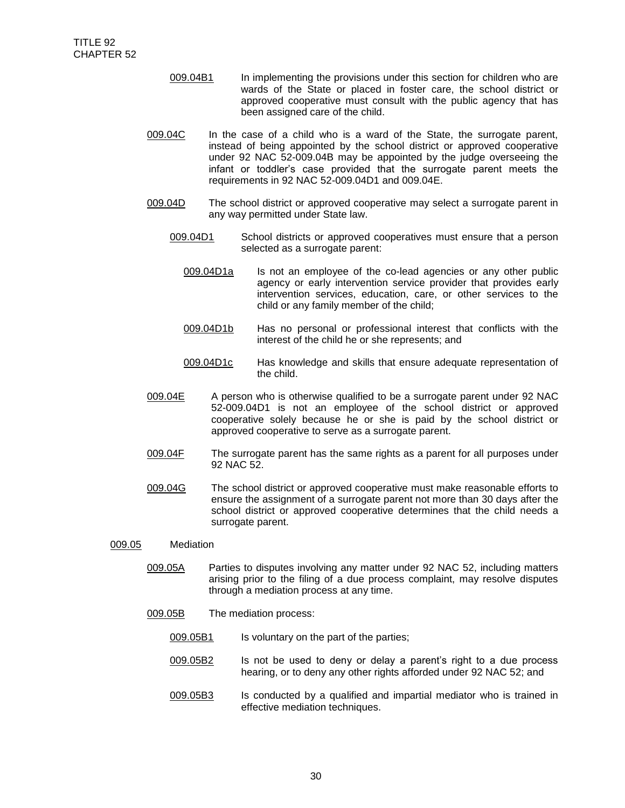- 009.04B1 In implementing the provisions under this section for children who are wards of the State or placed in foster care, the school district or approved cooperative must consult with the public agency that has been assigned care of the child.
- 009.04C In the case of a child who is a ward of the State, the surrogate parent, instead of being appointed by the school district or approved cooperative under 92 NAC 52-009.04B may be appointed by the judge overseeing the infant or toddler's case provided that the surrogate parent meets the requirements in 92 NAC 52-009.04D1 and 009.04E.
- 009.04D The school district or approved cooperative may select a surrogate parent in any way permitted under State law.
	- 009.04D1 School districts or approved cooperatives must ensure that a person selected as a surrogate parent:
		- 009.04D1a Is not an employee of the co-lead agencies or any other public agency or early intervention service provider that provides early intervention services, education, care, or other services to the child or any family member of the child;
		- 009.04D1b Has no personal or professional interest that conflicts with the interest of the child he or she represents; and
		- 009.04D1c Has knowledge and skills that ensure adequate representation of the child.
- 009.04E A person who is otherwise qualified to be a surrogate parent under 92 NAC 52-009.04D1 is not an employee of the school district or approved cooperative solely because he or she is paid by the school district or approved cooperative to serve as a surrogate parent.
- 009.04F The surrogate parent has the same rights as a parent for all purposes under 92 NAC 52.
- 009.04G The school district or approved cooperative must make reasonable efforts to ensure the assignment of a surrogate parent not more than 30 days after the school district or approved cooperative determines that the child needs a surrogate parent.

### 009.05 Mediation

- 009.05A Parties to disputes involving any matter under 92 NAC 52, including matters arising prior to the filing of a due process complaint, may resolve disputes through a mediation process at any time.
- 009.05B The mediation process:
	- 009.05B1 Is voluntary on the part of the parties;
	- 009.05B2 Is not be used to deny or delay a parent's right to a due process hearing, or to deny any other rights afforded under 92 NAC 52; and
	- 009.05B3 Is conducted by a qualified and impartial mediator who is trained in effective mediation techniques.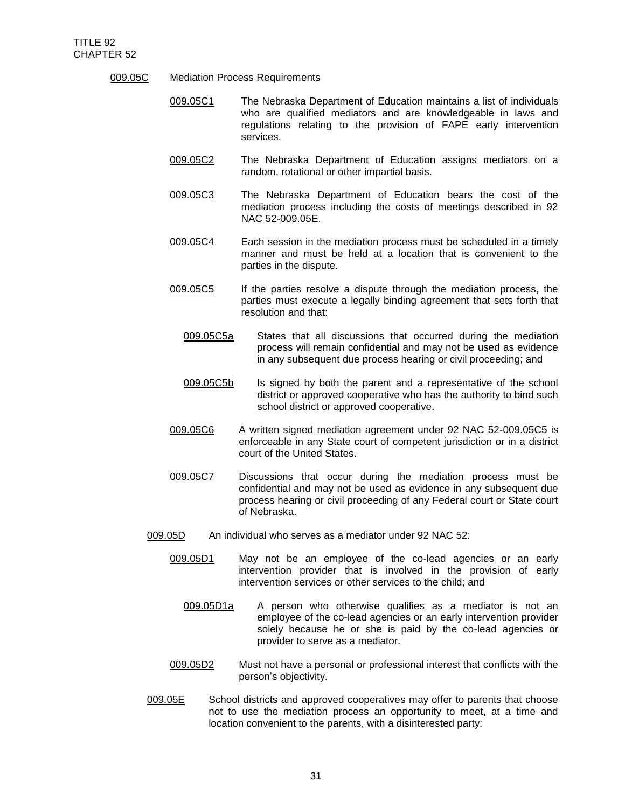- 009.05C Mediation Process Requirements
	- 009.05C1 The Nebraska Department of Education maintains a list of individuals who are qualified mediators and are knowledgeable in laws and regulations relating to the provision of FAPE early intervention services.
	- 009.05C2 The Nebraska Department of Education assigns mediators on a random, rotational or other impartial basis.
	- 009.05C3 The Nebraska Department of Education bears the cost of the mediation process including the costs of meetings described in 92 NAC 52-009.05E.
	- 009.05C4 Each session in the mediation process must be scheduled in a timely manner and must be held at a location that is convenient to the parties in the dispute.
	- 009.05C5 If the parties resolve a dispute through the mediation process, the parties must execute a legally binding agreement that sets forth that resolution and that:
		- 009.05C5a States that all discussions that occurred during the mediation process will remain confidential and may not be used as evidence in any subsequent due process hearing or civil proceeding; and
		- 009.05C5b Is signed by both the parent and a representative of the school district or approved cooperative who has the authority to bind such school district or approved cooperative.
	- 009.05C6 A written signed mediation agreement under 92 NAC 52-009.05C5 is enforceable in any State court of competent jurisdiction or in a district court of the United States.
	- 009.05C7 Discussions that occur during the mediation process must be confidential and may not be used as evidence in any subsequent due process hearing or civil proceeding of any Federal court or State court of Nebraska.
	- 009.05D An individual who serves as a mediator under 92 NAC 52:
		- 009.05D1 May not be an employee of the co-lead agencies or an early intervention provider that is involved in the provision of early intervention services or other services to the child; and
			- 009.05D1a A person who otherwise qualifies as a mediator is not an employee of the co-lead agencies or an early intervention provider solely because he or she is paid by the co-lead agencies or provider to serve as a mediator.
		- 009.05D2 Must not have a personal or professional interest that conflicts with the person's objectivity.
	- 009.05E School districts and approved cooperatives may offer to parents that choose not to use the mediation process an opportunity to meet, at a time and location convenient to the parents, with a disinterested party: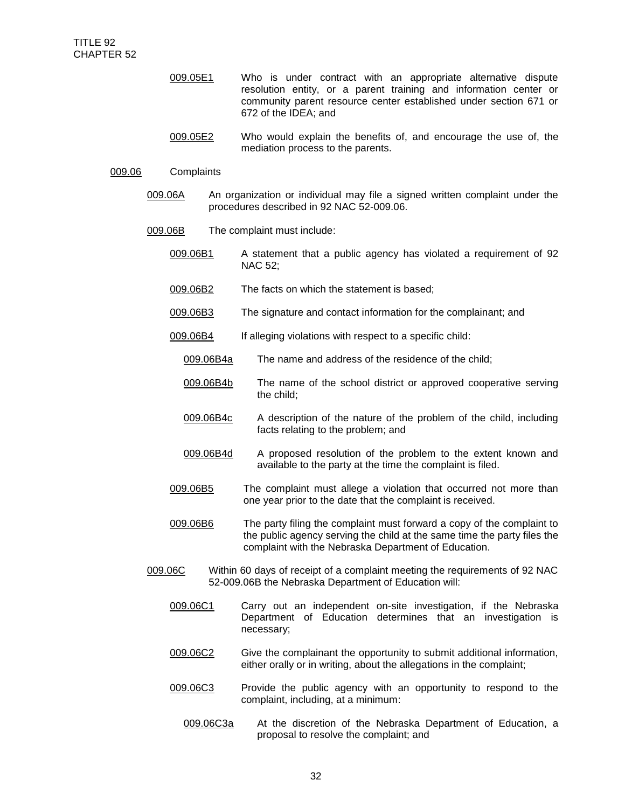- 009.05E1 Who is under contract with an appropriate alternative dispute resolution entity, or a parent training and information center or community parent resource center established under section 671 or 672 of the IDEA; and
- 009.05E2 Who would explain the benefits of, and encourage the use of, the mediation process to the parents.

### 009.06 Complaints

- 009.06A An organization or individual may file a signed written complaint under the procedures described in 92 NAC 52-009.06.
- 009.06B The complaint must include:
	- 009.06B1 A statement that a public agency has violated a requirement of 92 NAC 52;
	- 009.06B2 The facts on which the statement is based;
	- 009.06B3 The signature and contact information for the complainant; and
	- 009.06B4 If alleging violations with respect to a specific child:
		- 009.06B4a The name and address of the residence of the child;
		- 009.06B4b The name of the school district or approved cooperative serving the child;
		- 009.06B4c A description of the nature of the problem of the child, including facts relating to the problem; and
		- 009.06B4d A proposed resolution of the problem to the extent known and available to the party at the time the complaint is filed.
	- 009.06B5 The complaint must allege a violation that occurred not more than one year prior to the date that the complaint is received.
	- 009.06B6 The party filing the complaint must forward a copy of the complaint to the public agency serving the child at the same time the party files the complaint with the Nebraska Department of Education.
- 009.06C Within 60 days of receipt of a complaint meeting the requirements of 92 NAC 52-009.06B the Nebraska Department of Education will:
	- 009.06C1 Carry out an independent on-site investigation, if the Nebraska Department of Education determines that an investigation is necessary;
	- 009.06C2 Give the complainant the opportunity to submit additional information, either orally or in writing, about the allegations in the complaint;
	- 009.06C3 Provide the public agency with an opportunity to respond to the complaint, including, at a minimum:
		- 009.06C3a At the discretion of the Nebraska Department of Education, a proposal to resolve the complaint; and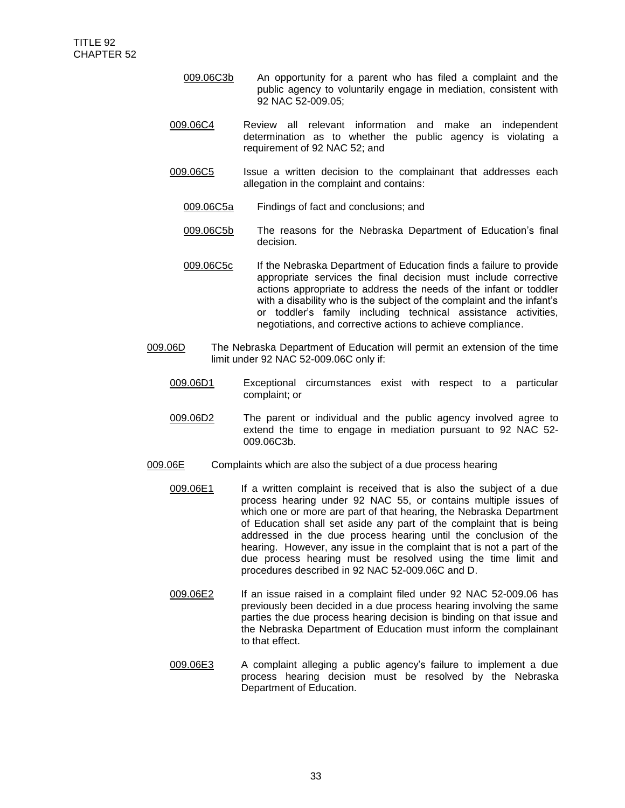- 009.06C3b An opportunity for a parent who has filed a complaint and the public agency to voluntarily engage in mediation, consistent with 92 NAC 52-009.05;
- 009.06C4 Review all relevant information and make an independent determination as to whether the public agency is violating a requirement of 92 NAC 52; and
- 009.06C5 Issue a written decision to the complainant that addresses each allegation in the complaint and contains:
	- 009.06C5a Findings of fact and conclusions; and
	- 009.06C5b The reasons for the Nebraska Department of Education's final decision.
	- 009.06C5c If the Nebraska Department of Education finds a failure to provide appropriate services the final decision must include corrective actions appropriate to address the needs of the infant or toddler with a disability who is the subject of the complaint and the infant's or toddler's family including technical assistance activities, negotiations, and corrective actions to achieve compliance.
- 009.06D The Nebraska Department of Education will permit an extension of the time limit under 92 NAC 52-009.06C only if:
	- 009.06D1 Exceptional circumstances exist with respect to a particular complaint; or
	- 009.06D2 The parent or individual and the public agency involved agree to extend the time to engage in mediation pursuant to 92 NAC 52- 009.06C3b.
- 009.06E Complaints which are also the subject of a due process hearing
	- 009.06E1 If a written complaint is received that is also the subject of a due process hearing under 92 NAC 55, or contains multiple issues of which one or more are part of that hearing, the Nebraska Department of Education shall set aside any part of the complaint that is being addressed in the due process hearing until the conclusion of the hearing. However, any issue in the complaint that is not a part of the due process hearing must be resolved using the time limit and procedures described in 92 NAC 52-009.06C and D.
	- 009.06E2 If an issue raised in a complaint filed under 92 NAC 52-009.06 has previously been decided in a due process hearing involving the same parties the due process hearing decision is binding on that issue and the Nebraska Department of Education must inform the complainant to that effect.
	- 009.06E3 A complaint alleging a public agency's failure to implement a due process hearing decision must be resolved by the Nebraska Department of Education.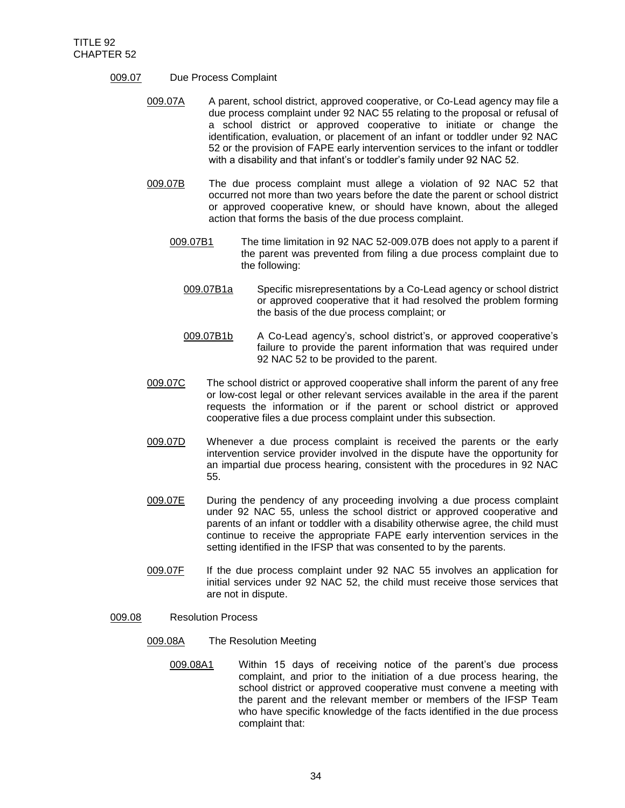- 009.07 Due Process Complaint
	- 009.07A A parent, school district, approved cooperative, or Co-Lead agency may file a due process complaint under 92 NAC 55 relating to the proposal or refusal of a school district or approved cooperative to initiate or change the identification, evaluation, or placement of an infant or toddler under 92 NAC 52 or the provision of FAPE early intervention services to the infant or toddler with a disability and that infant's or toddler's family under 92 NAC 52.
	- 009.07B The due process complaint must allege a violation of 92 NAC 52 that occurred not more than two years before the date the parent or school district or approved cooperative knew, or should have known, about the alleged action that forms the basis of the due process complaint.
		- 009.07B1 The time limitation in 92 NAC 52-009.07B does not apply to a parent if the parent was prevented from filing a due process complaint due to the following:
			- 009.07B1a Specific misrepresentations by a Co-Lead agency or school district or approved cooperative that it had resolved the problem forming the basis of the due process complaint; or
			- 009.07B1b A Co-Lead agency's, school district's, or approved cooperative's failure to provide the parent information that was required under 92 NAC 52 to be provided to the parent.
	- 009.07C The school district or approved cooperative shall inform the parent of any free or low-cost legal or other relevant services available in the area if the parent requests the information or if the parent or school district or approved cooperative files a due process complaint under this subsection.
	- 009.07D Whenever a due process complaint is received the parents or the early intervention service provider involved in the dispute have the opportunity for an impartial due process hearing, consistent with the procedures in 92 NAC 55.
	- 009.07E During the pendency of any proceeding involving a due process complaint under 92 NAC 55, unless the school district or approved cooperative and parents of an infant or toddler with a disability otherwise agree, the child must continue to receive the appropriate FAPE early intervention services in the setting identified in the IFSP that was consented to by the parents.
	- 009.07F If the due process complaint under 92 NAC 55 involves an application for initial services under 92 NAC 52, the child must receive those services that are not in dispute.

## 009.08 Resolution Process

- 009.08A The Resolution Meeting
	- 009.08A1 Within 15 days of receiving notice of the parent's due process complaint, and prior to the initiation of a due process hearing, the school district or approved cooperative must convene a meeting with the parent and the relevant member or members of the IFSP Team who have specific knowledge of the facts identified in the due process complaint that: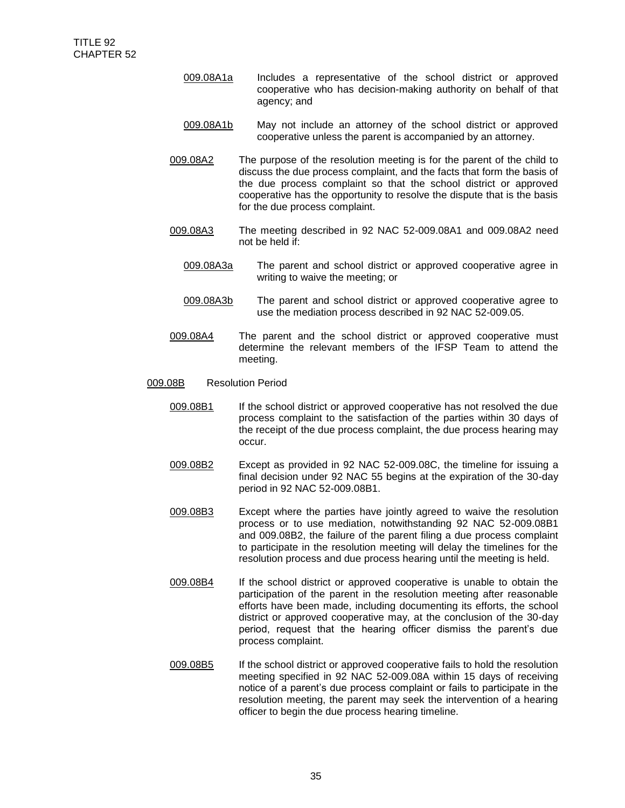- 009.08A1a Includes a representative of the school district or approved cooperative who has decision-making authority on behalf of that agency; and
- 009.08A1b May not include an attorney of the school district or approved cooperative unless the parent is accompanied by an attorney.
- 009.08A2 The purpose of the resolution meeting is for the parent of the child to discuss the due process complaint, and the facts that form the basis of the due process complaint so that the school district or approved cooperative has the opportunity to resolve the dispute that is the basis for the due process complaint.
- 009.08A3 The meeting described in 92 NAC 52-009.08A1 and 009.08A2 need not be held if:
	- 009.08A3a The parent and school district or approved cooperative agree in writing to waive the meeting; or
	- 009.08A3b The parent and school district or approved cooperative agree to use the mediation process described in 92 NAC 52-009.05.
- 009.08A4 The parent and the school district or approved cooperative must determine the relevant members of the IFSP Team to attend the meeting.
- 009.08B Resolution Period
	- 009.08B1 If the school district or approved cooperative has not resolved the due process complaint to the satisfaction of the parties within 30 days of the receipt of the due process complaint, the due process hearing may occur.
	- 009.08B2 Except as provided in 92 NAC 52-009.08C, the timeline for issuing a final decision under 92 NAC 55 begins at the expiration of the 30-day period in 92 NAC 52-009.08B1.
	- 009.08B3 Except where the parties have jointly agreed to waive the resolution process or to use mediation, notwithstanding 92 NAC 52-009.08B1 and 009.08B2, the failure of the parent filing a due process complaint to participate in the resolution meeting will delay the timelines for the resolution process and due process hearing until the meeting is held.
	- 009.08B4 If the school district or approved cooperative is unable to obtain the participation of the parent in the resolution meeting after reasonable efforts have been made, including documenting its efforts, the school district or approved cooperative may, at the conclusion of the 30-day period, request that the hearing officer dismiss the parent's due process complaint.
	- 009.08B5 If the school district or approved cooperative fails to hold the resolution meeting specified in 92 NAC 52-009.08A within 15 days of receiving notice of a parent's due process complaint or fails to participate in the resolution meeting, the parent may seek the intervention of a hearing officer to begin the due process hearing timeline.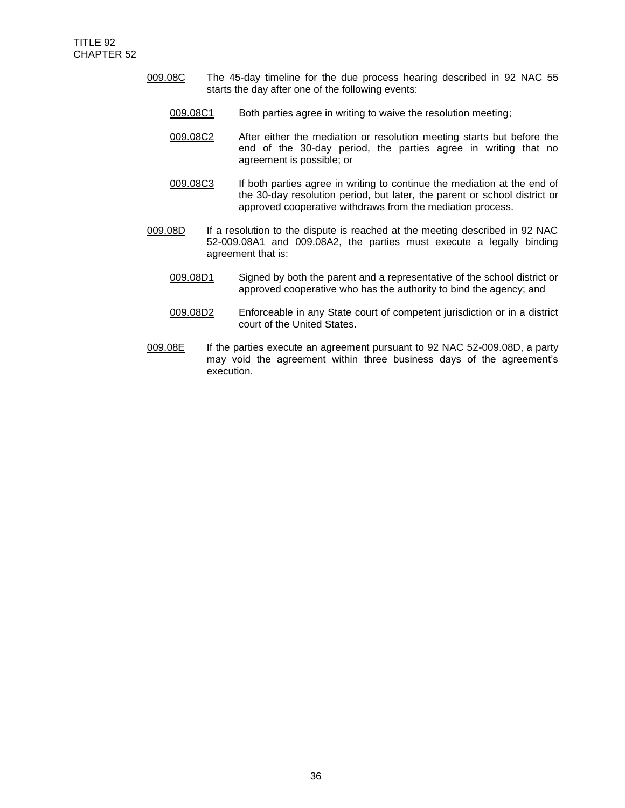- 009.08C The 45-day timeline for the due process hearing described in 92 NAC 55 starts the day after one of the following events:
	- 009.08C1 Both parties agree in writing to waive the resolution meeting;
	- 009.08C2 After either the mediation or resolution meeting starts but before the end of the 30-day period, the parties agree in writing that no agreement is possible; or
	- 009.08C3 If both parties agree in writing to continue the mediation at the end of the 30-day resolution period, but later, the parent or school district or approved cooperative withdraws from the mediation process.
- 009.08D If a resolution to the dispute is reached at the meeting described in 92 NAC 52-009.08A1 and 009.08A2, the parties must execute a legally binding agreement that is:
	- 009.08D1 Signed by both the parent and a representative of the school district or approved cooperative who has the authority to bind the agency; and
	- 009.08D2 Enforceable in any State court of competent jurisdiction or in a district court of the United States.
- 009.08E If the parties execute an agreement pursuant to 92 NAC 52-009.08D, a party may void the agreement within three business days of the agreement's execution.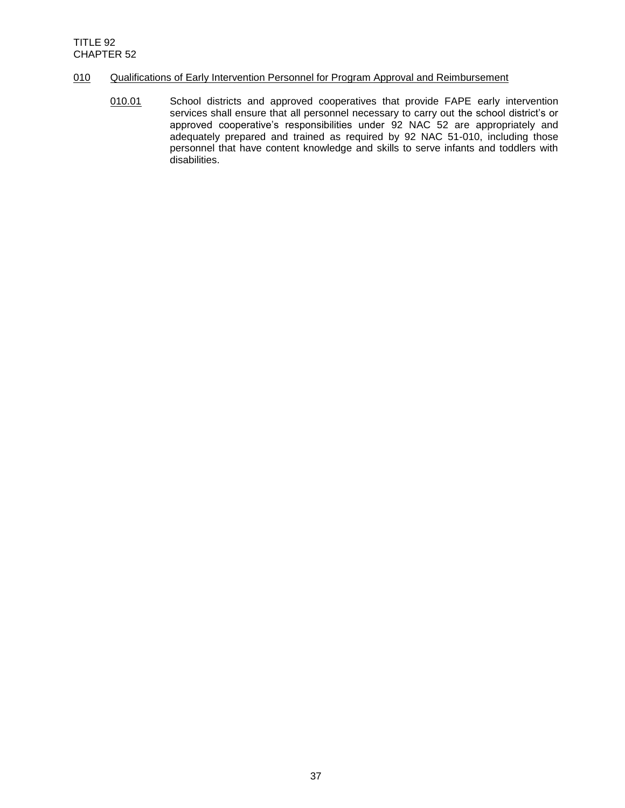## 010 Qualifications of Early Intervention Personnel for Program Approval and Reimbursement

010.01 School districts and approved cooperatives that provide FAPE early intervention services shall ensure that all personnel necessary to carry out the school district's or approved cooperative's responsibilities under 92 NAC 52 are appropriately and adequately prepared and trained as required by 92 NAC 51-010, including those personnel that have content knowledge and skills to serve infants and toddlers with disabilities.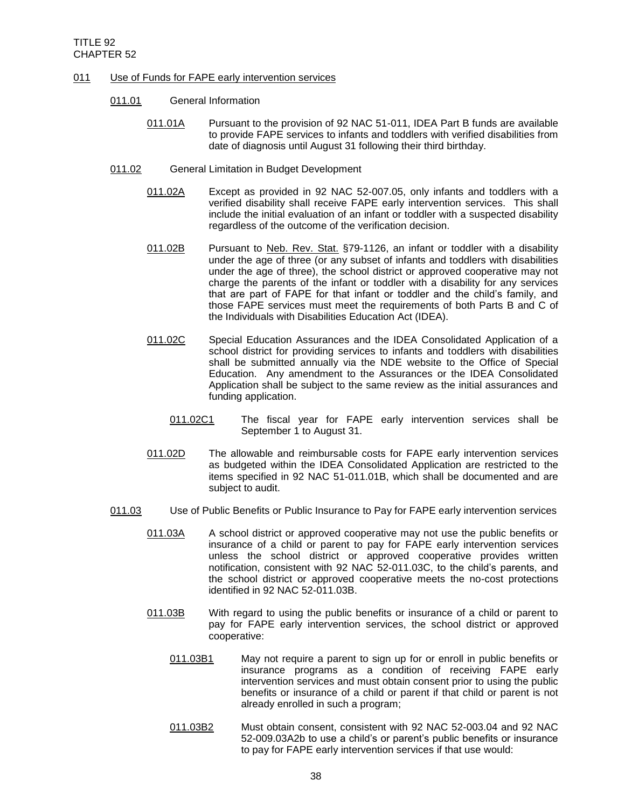- 011 Use of Funds for FAPE early intervention services
	- 011.01 General Information
		- 011.01A Pursuant to the provision of 92 NAC 51-011, IDEA Part B funds are available to provide FAPE services to infants and toddlers with verified disabilities from date of diagnosis until August 31 following their third birthday.
	- 011.02 General Limitation in Budget Development
		- 011.02A Except as provided in 92 NAC 52-007.05, only infants and toddlers with a verified disability shall receive FAPE early intervention services. This shall include the initial evaluation of an infant or toddler with a suspected disability regardless of the outcome of the verification decision.
		- 011.02B Pursuant to Neb. Rev. Stat. §79-1126, an infant or toddler with a disability under the age of three (or any subset of infants and toddlers with disabilities under the age of three), the school district or approved cooperative may not charge the parents of the infant or toddler with a disability for any services that are part of FAPE for that infant or toddler and the child's family, and those FAPE services must meet the requirements of both Parts B and C of the Individuals with Disabilities Education Act (IDEA).
		- 011.02C Special Education Assurances and the IDEA Consolidated Application of a school district for providing services to infants and toddlers with disabilities shall be submitted annually via the NDE website to the Office of Special Education. Any amendment to the Assurances or the IDEA Consolidated Application shall be subject to the same review as the initial assurances and funding application.
			- 011.02C1 The fiscal year for FAPE early intervention services shall be September 1 to August 31.
		- 011.02D The allowable and reimbursable costs for FAPE early intervention services as budgeted within the IDEA Consolidated Application are restricted to the items specified in 92 NAC 51-011.01B, which shall be documented and are subject to audit.
	- 011.03 Use of Public Benefits or Public Insurance to Pay for FAPE early intervention services
		- 011.03A A school district or approved cooperative may not use the public benefits or insurance of a child or parent to pay for FAPE early intervention services unless the school district or approved cooperative provides written notification, consistent with 92 NAC 52-011.03C, to the child's parents, and the school district or approved cooperative meets the no-cost protections identified in 92 NAC 52-011.03B.
		- 011.03B With regard to using the public benefits or insurance of a child or parent to pay for FAPE early intervention services, the school district or approved cooperative:
			- 011.03B1 May not require a parent to sign up for or enroll in public benefits or insurance programs as a condition of receiving FAPE early intervention services and must obtain consent prior to using the public benefits or insurance of a child or parent if that child or parent is not already enrolled in such a program;
			- 011.03B2 Must obtain consent, consistent with 92 NAC 52-003.04 and 92 NAC 52-009.03A2b to use a child's or parent's public benefits or insurance to pay for FAPE early intervention services if that use would: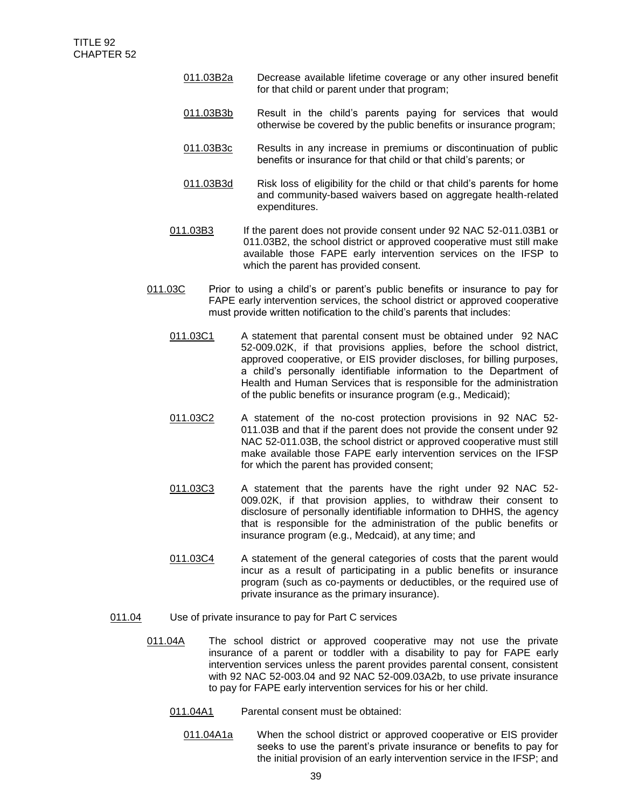- 011.03B2a Decrease available lifetime coverage or any other insured benefit for that child or parent under that program;
- 011.03B3b Result in the child's parents paying for services that would otherwise be covered by the public benefits or insurance program;
- 011.03B3c Results in any increase in premiums or discontinuation of public benefits or insurance for that child or that child's parents; or
- 011.03B3d Risk loss of eligibility for the child or that child's parents for home and community-based waivers based on aggregate health-related expenditures.
- 011.03B3 If the parent does not provide consent under 92 NAC 52-011.03B1 or 011.03B2, the school district or approved cooperative must still make available those FAPE early intervention services on the IFSP to which the parent has provided consent.
- 011.03C Prior to using a child's or parent's public benefits or insurance to pay for FAPE early intervention services, the school district or approved cooperative must provide written notification to the child's parents that includes:
	- 011.03C1 A statement that parental consent must be obtained under 92 NAC 52-009.02K, if that provisions applies, before the school district, approved cooperative, or EIS provider discloses, for billing purposes, a child's personally identifiable information to the Department of Health and Human Services that is responsible for the administration of the public benefits or insurance program (e.g., Medicaid);
	- 011.03C2 A statement of the no-cost protection provisions in 92 NAC 52- 011.03B and that if the parent does not provide the consent under 92 NAC 52-011.03B, the school district or approved cooperative must still make available those FAPE early intervention services on the IFSP for which the parent has provided consent;
	- 011.03C3 A statement that the parents have the right under 92 NAC 52- 009.02K, if that provision applies, to withdraw their consent to disclosure of personally identifiable information to DHHS, the agency that is responsible for the administration of the public benefits or insurance program (e.g., Medcaid), at any time; and
	- 011.03C4 A statement of the general categories of costs that the parent would incur as a result of participating in a public benefits or insurance program (such as co-payments or deductibles, or the required use of private insurance as the primary insurance).
- 011.04 Use of private insurance to pay for Part C services
	- 011.04A The school district or approved cooperative may not use the private insurance of a parent or toddler with a disability to pay for FAPE early intervention services unless the parent provides parental consent, consistent with 92 NAC 52-003.04 and 92 NAC 52-009.03A2b, to use private insurance to pay for FAPE early intervention services for his or her child.
		- 011.04A1 Parental consent must be obtained:
			- 011.04A1a When the school district or approved cooperative or EIS provider seeks to use the parent's private insurance or benefits to pay for the initial provision of an early intervention service in the IFSP; and